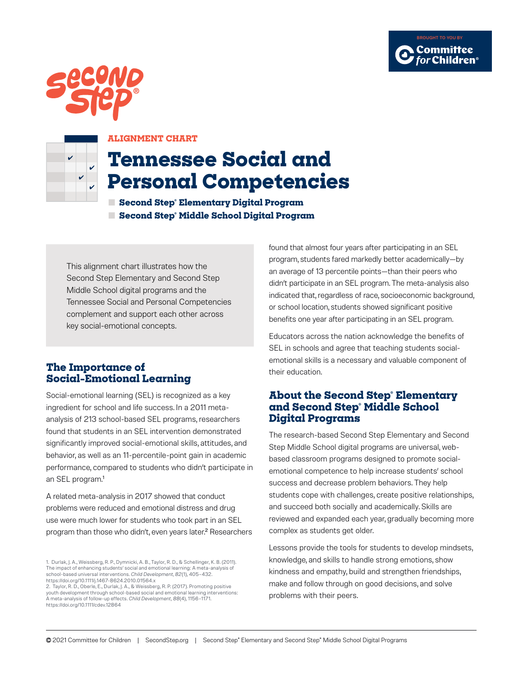





### **ALIGNMENT CHART**

# **Tennessee Social and Personal Competencies**

**■ Second Step® Elementary Digital Program ■ Second Step® Middle School Digital Program**

This alignment chart illustrates how the Second Step Elementary and Second Step Middle School digital programs and the Tennessee Social and Personal Competencies complement and support each other across key social-emotional concepts.

### **The Importance of Social-Emotional Learning**

Social-emotional learning (SEL) is recognized as a key ingredient for school and life success. In a 2011 metaanalysis of 213 school-based SEL programs, researchers found that students in an SEL intervention demonstrated significantly improved social-emotional skills, attitudes, and behavior, as well as an 11-percentile-point gain in academic performance, compared to students who didn't participate in an SEL program.<sup>1</sup>

A related meta-analysis in 2017 showed that conduct problems were reduced and emotional distress and drug use were much lower for students who took part in an SEL program than those who didn't, even years later.2 Researchers found that almost four years after participating in an SEL program, students fared markedly better academically—by an average of 13 percentile points—than their peers who didn't participate in an SEL program. The meta-analysis also indicated that, regardless of race, socioeconomic background, or school location, students showed significant positive benefits one year after participating in an SEL program.

Educators across the nation acknowledge the benefits of SEL in schools and agree that teaching students socialemotional skills is a necessary and valuable component of their education.

### **About the Second Step® Elementary and Second Step® Middle School Digital Programs**

The research-based Second Step Elementary and Second Step Middle School digital programs are universal, webbased classroom programs designed to promote socialemotional competence to help increase students' school success and decrease problem behaviors. They help students cope with challenges, create positive relationships, and succeed both socially and academically. Skills are reviewed and expanded each year, gradually becoming more complex as students get older.

Lessons provide the tools for students to develop mindsets, knowledge, and skills to handle strong emotions, show kindness and empathy, build and strengthen friendships, make and follow through on good decisions, and solve problems with their peers.

<sup>1.</sup> Durlak, J. A., Weissberg, R. P., Dymnicki, A. B., Taylor, R. D., & Schellinger, K. B. (2011).<br>The impact of enhancing students' social and emotional learning: A meta-analysis of school-based universal interventions. *Child Development, 82*(1), 405–432.

<https://doi.org/10.1111/j.1467-8624.2010.01564.x> 2. Taylor, R. D., Oberle, E., Durlak, J. A., & Weissberg, R. P. (2017). Promoting positive youth development through school-based social and emotional learning interventions: A meta-analysis of follow-up effects. *Child Development, 88*(4), 1156–1171. https://doi.org/10.1111/cdev.12864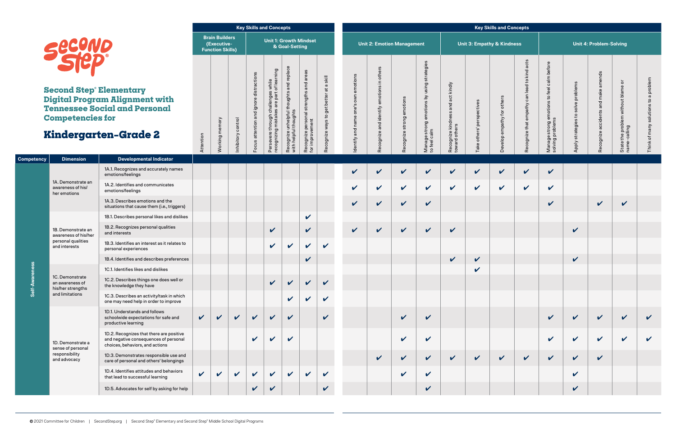

**Competency Dimension** 

**Self-Awareness**

Self-Awareness

1A. Demonstrate an awareness of his/ her emotions

|                                                                                                                      |                    |                                                                 |                            |                                            | <b>Key Skills and Concepts</b>                                                                                                           |                                                                   |                                                                     |                                               |                                               |                                                                  |                              |                                                               |                                                          |                            | <b>Key Skills and Concepts</b>        |                                              |                                                                                  |                                                           |                                              |                                                                             |                                                           |
|----------------------------------------------------------------------------------------------------------------------|--------------------|-----------------------------------------------------------------|----------------------------|--------------------------------------------|------------------------------------------------------------------------------------------------------------------------------------------|-------------------------------------------------------------------|---------------------------------------------------------------------|-----------------------------------------------|-----------------------------------------------|------------------------------------------------------------------|------------------------------|---------------------------------------------------------------|----------------------------------------------------------|----------------------------|---------------------------------------|----------------------------------------------|----------------------------------------------------------------------------------|-----------------------------------------------------------|----------------------------------------------|-----------------------------------------------------------------------------|-----------------------------------------------------------|
| D<br>$\bullet$                                                                                                       |                    | <b>Brain Builders</b><br>(Executive-<br><b>Function Skills)</b> |                            |                                            | <b>Unit 1: Growth Mindset</b>                                                                                                            | & Goal-Setting                                                    |                                                                     |                                               |                                               | <b>Unit 2: Emotion Management</b>                                |                              |                                                               |                                                          |                            | <b>Unit 3: Empathy &amp; Kindness</b> |                                              |                                                                                  |                                                           | <b>Unit 4: Problem-Solving</b>               |                                                                             |                                                           |
| lementary:<br>m Alignment with<br><b>ial and Personal</b><br>for<br>en-Grade 2                                       | Attention          | Working memory                                                  | Inhibitory control         | and ignore distractions<br>Focus attention | s while<br>: of learning<br>$\omega$<br>are part<br>ರಾ<br>$\overline{\overline{\sigma}}$<br>Persevere through ch<br>recognizing mistakes | Recognize unhelpful thoughts and replace<br>with helpful thoughts | Recognize personal strengths and areas<br>for improvement<br>improv | at a skill<br>to get better<br>Recognize ways | own emotions<br>one's<br>name<br>Identify and | others<br>$\equiv$ .<br>emotions<br>identify<br>and<br>Recognize | emotions<br>Recognize strong | using strategies<br>Manage strong emotions by<br>to feel calm | act kindly<br>and<br>Recognize kindness<br>toward others | Take others' perspectives  | others<br>đ<br>empathy f<br>evelop    | Recognize that empathy can lead to kind acts | feel calm before<br>$\mathtt{c}_1$<br>Manage strong emotions<br>solving problems | problems<br>solve<br>$\mathbf{S}$<br>ഗ<br>Apply strategie | amends<br>make<br>and<br>Recognize accidents | ō<br>$\Phi$<br>blam<br>without<br>problem<br>State the prob<br>name-calling | problem<br><b>G</b><br>°<br>solutions<br>of many<br>Think |
| <b>Developmental Indicator</b>                                                                                       |                    |                                                                 |                            |                                            |                                                                                                                                          |                                                                   |                                                                     |                                               |                                               |                                                                  |                              |                                                               |                                                          |                            | $\Omega$                              |                                              |                                                                                  |                                                           |                                              |                                                                             |                                                           |
| 1A.1. Recognizes and accurately names<br>emotions/feelings                                                           |                    |                                                                 |                            |                                            |                                                                                                                                          |                                                                   |                                                                     |                                               | $\checkmark$                                  | $\checkmark$                                                     | $\checkmark$                 | $\checkmark$                                                  | $\checkmark$                                             | $\boldsymbol{\mathcal{U}}$ | V                                     | $\checkmark$                                 | $\checkmark$                                                                     |                                                           |                                              |                                                                             |                                                           |
| 1A.2. Identifies and communicates<br>emotions/feelings                                                               |                    |                                                                 |                            |                                            |                                                                                                                                          |                                                                   |                                                                     |                                               | $\checkmark$                                  | $\checkmark$                                                     | V                            | $\mathbf v$                                                   | $\checkmark$                                             | $\checkmark$               | $\checkmark$                          | $\checkmark$                                 | $\checkmark$                                                                     |                                                           |                                              |                                                                             |                                                           |
| 1A.3. Describes emotions and the<br>situations that cause them (i.e., triggers)                                      |                    |                                                                 |                            |                                            |                                                                                                                                          |                                                                   |                                                                     |                                               | $\checkmark$                                  | $\checkmark$                                                     | V                            | $\checkmark$                                                  |                                                          |                            |                                       |                                              | $\checkmark$                                                                     |                                                           | $\checkmark$                                 | $\checkmark$                                                                |                                                           |
| 1B.1. Describes personal likes and dislikes                                                                          |                    |                                                                 |                            |                                            |                                                                                                                                          |                                                                   | $\checkmark$                                                        |                                               |                                               |                                                                  |                              |                                                               |                                                          |                            |                                       |                                              |                                                                                  |                                                           |                                              |                                                                             |                                                           |
| 1B.2. Recognizes personal qualities<br>and interests                                                                 |                    |                                                                 |                            |                                            | $\checkmark$                                                                                                                             |                                                                   | $\checkmark$                                                        |                                               | $\checkmark$                                  | $\checkmark$                                                     | $\checkmark$                 | $\checkmark$                                                  | $\checkmark$                                             |                            |                                       |                                              |                                                                                  | $\checkmark$                                              |                                              |                                                                             |                                                           |
| 1B.3. Identifies an interest as it relates to<br>personal experiences                                                |                    |                                                                 |                            |                                            | $\boldsymbol{\mathcal{U}}$                                                                                                               | $\boldsymbol{\mathcal{U}}$                                        | $\checkmark$                                                        | $\checkmark$                                  |                                               |                                                                  |                              |                                                               |                                                          |                            |                                       |                                              |                                                                                  |                                                           |                                              |                                                                             |                                                           |
| 1B.4. Identifies and describes preferences                                                                           |                    |                                                                 |                            |                                            |                                                                                                                                          |                                                                   | $\checkmark$                                                        |                                               |                                               |                                                                  |                              |                                                               | $\boldsymbol{\mathcal{U}}$                               | $\checkmark$               |                                       |                                              |                                                                                  | $\checkmark$                                              |                                              |                                                                             |                                                           |
| 1C.1. Identifies likes and dislikes                                                                                  |                    |                                                                 |                            |                                            |                                                                                                                                          |                                                                   |                                                                     |                                               |                                               |                                                                  |                              |                                                               |                                                          | V                          |                                       |                                              |                                                                                  |                                                           |                                              |                                                                             |                                                           |
| 1C.2. Describes things one does well or<br>the knowledge they have                                                   |                    |                                                                 |                            |                                            | $\mathbf v$                                                                                                                              | $\boldsymbol{\mathcal{U}}$                                        | $\mathbf v$                                                         | $\checkmark$                                  |                                               |                                                                  |                              |                                                               |                                                          |                            |                                       |                                              |                                                                                  |                                                           |                                              |                                                                             |                                                           |
| 1C.3. Describes an activity/task in which<br>one may need help in order to improve                                   |                    |                                                                 |                            |                                            |                                                                                                                                          | $\mathbf{v}$                                                      | $\mathbf v$                                                         | $\checkmark$                                  |                                               |                                                                  |                              |                                                               |                                                          |                            |                                       |                                              |                                                                                  |                                                           |                                              |                                                                             |                                                           |
| 1D.1. Understands and follows<br>schoolwide expectations for safe and<br>productive learning                         | $\checkmark$       | V                                                               | $\boldsymbol{\mathcal{U}}$ | $\checkmark$                               | $\checkmark$                                                                                                                             | $\boldsymbol{\mathcal{U}}$                                        |                                                                     | $\checkmark$                                  |                                               |                                                                  | $\checkmark$                 | $\checkmark$                                                  |                                                          |                            |                                       |                                              | $\checkmark$                                                                     | V                                                         | $\checkmark$                                 | $\checkmark$                                                                |                                                           |
| 1D.2. Recognizes that there are positive<br>and negative consequences of personal<br>choices, behaviors, and actions |                    |                                                                 |                            | $\checkmark$                               | $\boldsymbol{\mathcal{U}}$                                                                                                               | $\checkmark$                                                      |                                                                     |                                               |                                               |                                                                  | V                            | $\checkmark$                                                  |                                                          |                            |                                       |                                              | $\checkmark$                                                                     | V                                                         | $\mathbf v$                                  | $\boldsymbol{\mathcal{U}}$                                                  |                                                           |
| 1D.3. Demonstrates responsible use and<br>care of personal and others' belongings                                    |                    |                                                                 |                            |                                            |                                                                                                                                          |                                                                   |                                                                     |                                               |                                               | $\checkmark$                                                     | V                            | $\checkmark$                                                  | $\checkmark$                                             | $\checkmark$               | $\checkmark$                          | $\checkmark$                                 | $\checkmark$                                                                     | $\checkmark$                                              | $\checkmark$                                 |                                                                             |                                                           |
| 1D.4. Identifies attitudes and behaviors<br>that lead to successful learning                                         | $\boldsymbol{\nu}$ | V                                                               |                            | $\checkmark$                               | $\boldsymbol{\mathcal{U}}$                                                                                                               | $\boldsymbol{\nu}$                                                | $\boldsymbol{\mathcal{U}}$                                          | $\boldsymbol{\mathcal{U}}$                    |                                               |                                                                  | $\checkmark$                 | $\checkmark$                                                  |                                                          |                            |                                       |                                              |                                                                                  | $\boldsymbol{\mathcal{U}}$                                |                                              |                                                                             |                                                           |
| 1D.5. Advocates for self by asking for help                                                                          |                    |                                                                 |                            | $\checkmark$                               | $\checkmark$                                                                                                                             |                                                                   |                                                                     | $\checkmark$                                  |                                               |                                                                  |                              | $\checkmark$                                                  |                                                          |                            |                                       |                                              |                                                                                  | $\checkmark$                                              |                                              |                                                                             |                                                           |

**Second Step® Eleme Digital Program Alignment Tennessee Social a Competencies for**

# **Kindergarten-G**

1B. Demonstrate an awareness of his/her personal qualities and interests

1C. Demonstrate an awareness of his/her strengths and limitations

1D. Demonstrate a sense of personal responsibility and advocacy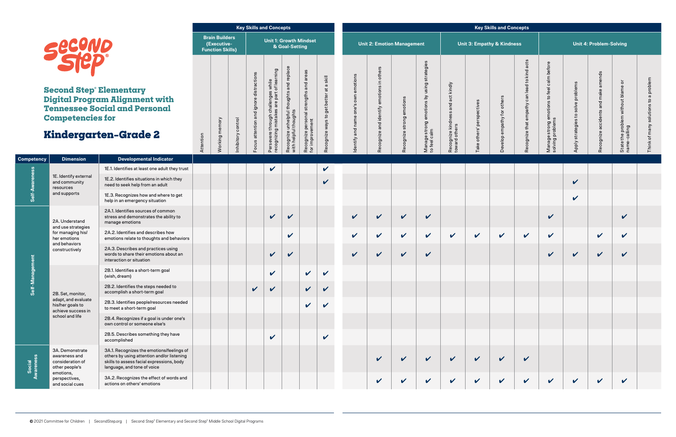|                                                                                                                                                                     |           |                                                                 |                    |                                         | <b>Key Skills and Concepts</b>                                                                    |                                                                   |                                                                       |                                                                           |                                                 |                                                                                   |                            |                                                                                            |                                                           |                                       | <b>Key Skills and Concepts</b>                       |                                              |                                                                   |                                                          |                                                 |                                                                     |                                                                         |
|---------------------------------------------------------------------------------------------------------------------------------------------------------------------|-----------|-----------------------------------------------------------------|--------------------|-----------------------------------------|---------------------------------------------------------------------------------------------------|-------------------------------------------------------------------|-----------------------------------------------------------------------|---------------------------------------------------------------------------|-------------------------------------------------|-----------------------------------------------------------------------------------|----------------------------|--------------------------------------------------------------------------------------------|-----------------------------------------------------------|---------------------------------------|------------------------------------------------------|----------------------------------------------|-------------------------------------------------------------------|----------------------------------------------------------|-------------------------------------------------|---------------------------------------------------------------------|-------------------------------------------------------------------------|
| $^{\circ}$                                                                                                                                                          |           | <b>Brain Builders</b><br>(Executive-<br><b>Function Skills)</b> |                    |                                         | <b>Unit 1: Growth Mindset</b>                                                                     | & Goal-Setting                                                    |                                                                       |                                                                           |                                                 | <b>Unit 2: Emotion Management</b>                                                 |                            |                                                                                            |                                                           | <b>Unit 3: Empathy &amp; Kindness</b> |                                                      |                                              |                                                                   |                                                          | <b>Unit 4: Problem-Solving</b>                  |                                                                     |                                                                         |
| lementary<br>n Alignment with<br>ial and Personal<br>for<br><b>n-Grade 2:</b>                                                                                       | Attention | Working memory                                                  | Inhibitory control | Focus attention and ignore distractions | while<br>of learning<br>challenges<br>es are part c<br>Persevere through c<br>recognizing mistake | Recognize unhelpful thoughts and replace<br>with helpful thoughts | areas<br>and<br>engths<br>onal<br>Recognize person<br>for improvement | a skill<br>$\vec{a}$<br>get better<br>$\overline{c}$<br>ways<br>Recognize | emotions<br>own<br>one's<br>name<br>dentify and | others<br>$\mathrel{\mathop{\uncorner}}$<br>emotions<br>and identify<br>Recognize | Recognize strong emotions  | using strategies<br>$\overline{\mathbf{a}}$<br>emotions<br>Manage strong e<br>to feel calm | and act kindly<br>ဖ<br>Recognize kindnes<br>toward others | others' perspectives<br>Take          | others<br>tor<br>empathy <sup>+</sup><br>evelop<br>Ă | Recognize that empathy can lead to kind acts | calm before<br>Manage strong emotions to feel<br>solving problems | problems<br>solve<br>$\mathbf{S}$<br>strategies<br>Apply | amends<br>make<br>and<br>accidents<br>Recognize | ৯<br>blame<br>without<br>the problem<br>--calling<br>name-<br>State | problem<br><b>GD</b><br>$\mathbf{c}$<br>solutions<br>many<br>৳<br>Think |
| <b>Developmental Indicator</b>                                                                                                                                      |           |                                                                 |                    |                                         |                                                                                                   |                                                                   |                                                                       |                                                                           |                                                 |                                                                                   |                            |                                                                                            |                                                           |                                       |                                                      |                                              |                                                                   |                                                          |                                                 |                                                                     |                                                                         |
| 1E.1. Identifies at least one adult they trust                                                                                                                      |           |                                                                 |                    |                                         | V                                                                                                 |                                                                   |                                                                       | $\boldsymbol{\mathcal{U}}$                                                |                                                 |                                                                                   |                            |                                                                                            |                                                           |                                       |                                                      |                                              |                                                                   |                                                          |                                                 |                                                                     |                                                                         |
| 1E.2. Identifies situations in which they<br>need to seek help from an adult                                                                                        |           |                                                                 |                    |                                         |                                                                                                   |                                                                   |                                                                       | $\checkmark$                                                              |                                                 |                                                                                   |                            |                                                                                            |                                                           |                                       |                                                      |                                              |                                                                   | $\checkmark$                                             |                                                 |                                                                     |                                                                         |
| 1E.3. Recognizes how and where to get<br>help in an emergency situation                                                                                             |           |                                                                 |                    |                                         |                                                                                                   |                                                                   |                                                                       |                                                                           |                                                 |                                                                                   |                            |                                                                                            |                                                           |                                       |                                                      |                                              |                                                                   | $\checkmark$                                             |                                                 |                                                                     |                                                                         |
| 2A.1. Identifies sources of common<br>stress and demonstrates the ability to<br>manage emotions                                                                     |           |                                                                 |                    |                                         | $\checkmark$                                                                                      | $\checkmark$                                                      |                                                                       |                                                                           | $\checkmark$                                    | $\checkmark$                                                                      | $\checkmark$               | $\checkmark$                                                                               |                                                           |                                       |                                                      |                                              | V                                                                 |                                                          |                                                 | $\checkmark$                                                        |                                                                         |
| 2A.2. Identifies and describes how<br>emotions relate to thoughts and behaviors                                                                                     |           |                                                                 |                    |                                         |                                                                                                   | $\checkmark$                                                      |                                                                       |                                                                           | $\checkmark$                                    | $\checkmark$                                                                      | $\checkmark$               | $\checkmark$                                                                               | $\checkmark$                                              | $\checkmark$                          | V                                                    | $\checkmark$                                 | V                                                                 |                                                          | $\checkmark$                                    | $\checkmark$                                                        |                                                                         |
| 2A.3. Describes and practices using<br>words to share their emotions about an<br>interaction or situation                                                           |           |                                                                 |                    |                                         | $\checkmark$                                                                                      | $\checkmark$                                                      |                                                                       |                                                                           | $\checkmark$                                    | $\checkmark$                                                                      | $\checkmark$               | $\checkmark$                                                                               |                                                           |                                       |                                                      |                                              | V                                                                 | V                                                        | $\checkmark$                                    | $\checkmark$                                                        |                                                                         |
| 2B.1. Identifies a short-term goal<br>(wish, dream)                                                                                                                 |           |                                                                 |                    |                                         | $\checkmark$                                                                                      |                                                                   | $\checkmark$                                                          | $\checkmark$                                                              |                                                 |                                                                                   |                            |                                                                                            |                                                           |                                       |                                                      |                                              |                                                                   |                                                          |                                                 |                                                                     |                                                                         |
| 2B.2. Identifies the steps needed to<br>accomplish a short-term goal                                                                                                |           |                                                                 |                    | $\checkmark$                            | $\checkmark$                                                                                      |                                                                   | $\checkmark$                                                          | $\checkmark$                                                              |                                                 |                                                                                   |                            |                                                                                            |                                                           |                                       |                                                      |                                              |                                                                   |                                                          |                                                 |                                                                     |                                                                         |
| 2B.3. Identifies people/resources needed<br>to meet a short-term goal                                                                                               |           |                                                                 |                    |                                         |                                                                                                   |                                                                   | $\checkmark$                                                          | $\boldsymbol{\mathcal{U}}$                                                |                                                 |                                                                                   |                            |                                                                                            |                                                           |                                       |                                                      |                                              |                                                                   |                                                          |                                                 |                                                                     |                                                                         |
| 2B.4. Recognizes if a goal is under one's<br>own control or someone else's                                                                                          |           |                                                                 |                    |                                         |                                                                                                   |                                                                   |                                                                       |                                                                           |                                                 |                                                                                   |                            |                                                                                            |                                                           |                                       |                                                      |                                              |                                                                   |                                                          |                                                 |                                                                     |                                                                         |
| 2B.5. Describes something they have<br>accomplished                                                                                                                 |           |                                                                 |                    |                                         | $\mathbf v$                                                                                       |                                                                   |                                                                       | $\checkmark$                                                              |                                                 |                                                                                   |                            |                                                                                            |                                                           |                                       |                                                      |                                              |                                                                   |                                                          |                                                 |                                                                     |                                                                         |
| 3A.1. Recognizes the emotions/feelings of<br>others by using attention and/or listening<br>skills to assess facial expressions, body<br>language, and tone of voice |           |                                                                 |                    |                                         |                                                                                                   |                                                                   |                                                                       |                                                                           |                                                 | $\checkmark$                                                                      | $\boldsymbol{\mathcal{U}}$ | $\checkmark$                                                                               | $\checkmark$                                              | $\checkmark$                          | V                                                    | $\checkmark$                                 |                                                                   |                                                          |                                                 |                                                                     |                                                                         |
| 3A.2. Recognizes the effect of words and<br>actions on others' emotions                                                                                             |           |                                                                 |                    |                                         |                                                                                                   |                                                                   |                                                                       |                                                                           |                                                 | $\boldsymbol{\mathcal{U}}$                                                        | V                          | $\checkmark$                                                                               | $\checkmark$                                              | $\mathbf v$                           | V                                                    | $\checkmark$                                 | $\checkmark$                                                      | $\checkmark$                                             | $\checkmark$                                    | $\checkmark$                                                        |                                                                         |

| <b>Competency</b>  | <b>Dimension</b>                                                       | <b>Developmental Indicator</b>                                                                                                                                      |  |                            |                            |                            |                            |                            |                            |                            |                            |                            |   |                            |                    |                    |   |   |
|--------------------|------------------------------------------------------------------------|---------------------------------------------------------------------------------------------------------------------------------------------------------------------|--|----------------------------|----------------------------|----------------------------|----------------------------|----------------------------|----------------------------|----------------------------|----------------------------|----------------------------|---|----------------------------|--------------------|--------------------|---|---|
|                    |                                                                        | 1E.1. Identifies at least one adult they trust                                                                                                                      |  |                            | $\mathbf v$                |                            |                            | $\checkmark$               |                            |                            |                            |                            |   |                            |                    |                    |   |   |
| Self-Awareness     | 1E. Identify external<br>and community<br>resources                    | 1E.2. Identifies situations in which they<br>need to seek help from an adult                                                                                        |  |                            |                            |                            |                            | $\boldsymbol{\mathcal{U}}$ |                            |                            |                            |                            |   |                            |                    |                    |   | V |
|                    | and supports                                                           | 1E.3. Recognizes how and where to get<br>help in an emergency situation                                                                                             |  |                            |                            |                            |                            |                            |                            |                            |                            |                            |   |                            |                    |                    |   | V |
|                    | 2A. Understand<br>and use strategies                                   | 2A.1. Identifies sources of common<br>stress and demonstrates the ability to<br>manage emotions                                                                     |  |                            | $\boldsymbol{\mathcal{U}}$ | $\boldsymbol{\mathcal{U}}$ |                            |                            |                            | $\boldsymbol{\mathcal{U}}$ | $\boldsymbol{\mathcal{U}}$ | $\mathbf{v}$               |   |                            |                    |                    | V |   |
|                    | for managing hisl<br>her emotions                                      | 2A.2. Identifies and describes how<br>emotions relate to thoughts and behaviors                                                                                     |  |                            |                            | $\boldsymbol{\mathcal{U}}$ |                            |                            | $\boldsymbol{\mathcal{U}}$ | V                          | $\checkmark$               | V                          | V | $\boldsymbol{\mathcal{U}}$ | $\checkmark$       | $\mathbf{v}$       | V |   |
|                    | and behaviors<br>constructively                                        | 2A.3. Describes and practices using<br>words to share their emotions about an<br>interaction or situation                                                           |  |                            | ✔                          | $\mathbf{v}$               |                            |                            |                            | $\mathbf v$                | $\mathbf v$                | $\boldsymbol{\mathcal{U}}$ |   |                            |                    |                    |   |   |
| Self-Management    |                                                                        | 2B.1. Identifies a short-term goal<br>(wish, dream)                                                                                                                 |  |                            | V                          |                            | $\boldsymbol{\mathcal{U}}$ | ✔                          |                            |                            |                            |                            |   |                            |                    |                    |   |   |
|                    | 2B. Set, monitor,                                                      | 2B.2. Identifies the steps needed to<br>accomplish a short-term goal                                                                                                |  | $\boldsymbol{\mathcal{U}}$ | $\boldsymbol{\nu}$         |                            | $\boldsymbol{\mathcal{U}}$ | V                          |                            |                            |                            |                            |   |                            |                    |                    |   |   |
|                    | adapt, and evaluate<br>his/her goals to<br>achieve success in          | 2B.3. Identifies people/resources needed<br>to meet a short-term goal                                                                                               |  |                            |                            |                            | $\boldsymbol{\mathcal{U}}$ |                            |                            |                            |                            |                            |   |                            |                    |                    |   |   |
|                    | school and life                                                        | 2B.4. Recognizes if a goal is under one's<br>own control or someone else's                                                                                          |  |                            |                            |                            |                            |                            |                            |                            |                            |                            |   |                            |                    |                    |   |   |
|                    |                                                                        | 2B.5. Describes something they have<br>accomplished                                                                                                                 |  |                            | $\mathbf{v}$               |                            |                            | $\boldsymbol{\nu}$         |                            |                            |                            |                            |   |                            |                    |                    |   |   |
| Social<br>wareness | 3A. Demonstrate<br>awareness and<br>consideration of<br>other people's | 3A.1. Recognizes the emotions/feelings of<br>others by using attention and/or listening<br>skills to assess facial expressions, body<br>language, and tone of voice |  |                            |                            |                            |                            |                            |                            | V                          | $\boldsymbol{\nu}$         | $\boldsymbol{\mathcal{U}}$ | V | $\boldsymbol{\mathcal{U}}$ | $\mathbf v$        | $\boldsymbol{\nu}$ |   |   |
|                    | emotions,<br>perspectives,<br>and social cues                          | 3A.2. Recognizes the effect of words and<br>actions on others' emotions                                                                                             |  |                            |                            |                            |                            |                            |                            | V                          | ✔                          | $\boldsymbol{\nu}$         | ✔ | V                          | $\boldsymbol{\nu}$ |                    |   |   |



**Second Step® Elementary Digital Program Alignment with Tennessee Social and Personal Competencies for**

# **Kindergarten–Grade 2**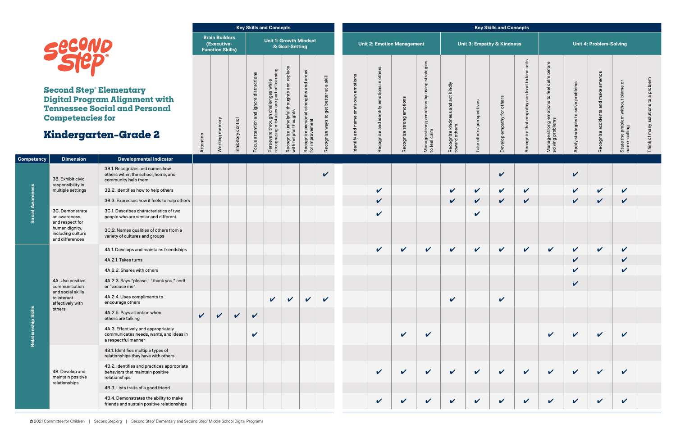

|                     |                                                                    |                                                                                                       |             |                                                                 |                    | <b>Key Skills and Concepts</b>          |                                                                                        |                                                                           |                                                                         |                                                                                      |                                        |                                                 |                                       |                                                  |                                                    |                                       | <b>Key Skills and Concepts</b> |                                     |                                                                   |                                                              |                                           |                                                                        |                                             |
|---------------------|--------------------------------------------------------------------|-------------------------------------------------------------------------------------------------------|-------------|-----------------------------------------------------------------|--------------------|-----------------------------------------|----------------------------------------------------------------------------------------|---------------------------------------------------------------------------|-------------------------------------------------------------------------|--------------------------------------------------------------------------------------|----------------------------------------|-------------------------------------------------|---------------------------------------|--------------------------------------------------|----------------------------------------------------|---------------------------------------|--------------------------------|-------------------------------------|-------------------------------------------------------------------|--------------------------------------------------------------|-------------------------------------------|------------------------------------------------------------------------|---------------------------------------------|
|                     |                                                                    |                                                                                                       |             | <b>Brain Builders</b><br>(Executive-<br><b>Function Skills)</b> |                    |                                         |                                                                                        | & Goal-Setting                                                            | <b>Unit 1: Growth Mindset</b>                                           |                                                                                      |                                        |                                                 | <b>Unit 2: Emotion Management</b>     |                                                  |                                                    | <b>Unit 3: Empathy &amp; Kindness</b> |                                |                                     |                                                                   |                                                              | <b>Unit 4: Problem-Solving</b>            |                                                                        |                                             |
|                     | Secure<br><b>Second Step Elementary</b><br><b>Competencies for</b> | <b>Digital Program Alignment with</b><br><b>Tennessee Social and Personal</b>                         |             | Working memory                                                  | Inhibitory control | Focus attention and ignore distractions | allenges while<br>are part of learning<br>Persevere through ch<br>recognizing mistakes | and replace<br>thoughts<br>Recognize unhelpful t<br>with helpful thoughts | areas<br>$\overline{a}$<br>strengths<br>cognize personal<br>improvement | skill<br>$\boldsymbol{\varpi}$<br>$\vec{a}$<br>better<br>get<br>$\mathbf{c}$<br>ways | one's own emotions<br>dentify and name | others<br>르.<br>emotions<br>ognize and identify | iotion:<br>$\overline{9}$<br><b>i</b> | strategies<br>using<br>$\gtrsim$<br>ဖ<br>emotion | Recognize kindness and act kindly<br>toward others | spectiv<br><b>De</b><br>others'       | others<br>Develop empathy for  | kind acts<br>can lead to<br>empathy | to feel calm before<br>Manage strong emotions<br>solving problems | problems<br>solve<br>$\boldsymbol{\mathsf{S}}$<br>strategies | amends<br>make<br>Recognize accidents and | $\overline{\sigma}$<br>State the problem without blame<br>name-calling | oblem<br>$\overline{a}$<br>$\sigma$<br>many |
|                     |                                                                    | <b>Kindergarten-Grade 2</b>                                                                           | Attention   |                                                                 |                    |                                         |                                                                                        |                                                                           | ទី ១                                                                    | ognize                                                                               |                                        | Rec                                             | ognize                                | Manage strong e<br>to feel calm                  |                                                    | $\frac{X}{\sigma}$                    |                                | Recognize that                      |                                                                   | <b>Apply</b>                                                 |                                           |                                                                        | $\overline{\sigma}$<br>Think                |
| <b>Competency</b>   | <b>Dimension</b>                                                   | <b>Developmental Indicator</b>                                                                        |             |                                                                 |                    |                                         |                                                                                        |                                                                           |                                                                         |                                                                                      |                                        |                                                 |                                       |                                                  |                                                    |                                       |                                |                                     |                                                                   |                                                              |                                           |                                                                        |                                             |
|                     | 3B. Exhibit civic                                                  | 3B.1. Recognizes and names how<br>others within the school, home, and<br>community help them          |             |                                                                 |                    |                                         |                                                                                        |                                                                           |                                                                         | $\checkmark$                                                                         |                                        |                                                 |                                       |                                                  |                                                    |                                       | V                              |                                     |                                                                   | $\checkmark$                                                 |                                           |                                                                        |                                             |
|                     | responsibility in<br>multiple settings                             | 3B.2. Identifies how to help others                                                                   |             |                                                                 |                    |                                         |                                                                                        |                                                                           |                                                                         |                                                                                      |                                        | $\mathbf{v}$                                    |                                       |                                                  | $\checkmark$                                       | $\checkmark$                          | $\checkmark$                   | $\checkmark$                        |                                                                   | $\sqrt{2}$                                                   | $\checkmark$                              | $\checkmark$                                                           |                                             |
| Awarenes            |                                                                    | 3B.3. Expresses how it feels to help others                                                           |             |                                                                 |                    |                                         |                                                                                        |                                                                           |                                                                         |                                                                                      |                                        | $\boldsymbol{\nu}$                              |                                       |                                                  | $\checkmark$                                       | $\checkmark$                          | $\checkmark$                   | $\checkmark$                        |                                                                   | $\checkmark$                                                 | $\checkmark$                              | $\checkmark$                                                           |                                             |
| ocial               | 3C. Demonstrate<br>an awareness<br>and respect for                 | 3C.1. Describes characteristics of two<br>people who are similar and different                        |             |                                                                 |                    |                                         |                                                                                        |                                                                           |                                                                         |                                                                                      |                                        | $\boldsymbol{\nu}$                              |                                       |                                                  |                                                    | $\boldsymbol{\mathcal{U}}$            |                                |                                     |                                                                   |                                                              |                                           |                                                                        |                                             |
|                     | human dignity,<br>including culture<br>and differences             | 3C.2. Names qualities of others from a<br>variety of cultures and groups                              |             |                                                                 |                    |                                         |                                                                                        |                                                                           |                                                                         |                                                                                      |                                        |                                                 |                                       |                                                  |                                                    |                                       |                                |                                     |                                                                   |                                                              |                                           |                                                                        |                                             |
|                     |                                                                    | 4A.1. Develops and maintains friendships                                                              |             |                                                                 |                    |                                         |                                                                                        |                                                                           |                                                                         |                                                                                      |                                        | $\mathbf v$                                     | $\checkmark$                          | $\checkmark$                                     | $\checkmark$                                       | $\checkmark$                          | $\checkmark$                   | $\checkmark$                        | $\checkmark$                                                      | $\boldsymbol{\mathcal{U}}$                                   | $\checkmark$                              | $\checkmark$                                                           |                                             |
|                     |                                                                    | 4A.2.1. Takes turns                                                                                   |             |                                                                 |                    |                                         |                                                                                        |                                                                           |                                                                         |                                                                                      |                                        |                                                 |                                       |                                                  |                                                    |                                       |                                |                                     |                                                                   | $\boldsymbol{\mathcal{U}}$                                   |                                           | $\checkmark$                                                           |                                             |
|                     |                                                                    | 4A.2.2. Shares with others                                                                            |             |                                                                 |                    |                                         |                                                                                        |                                                                           |                                                                         |                                                                                      |                                        |                                                 |                                       |                                                  |                                                    |                                       |                                |                                     |                                                                   | $\checkmark$                                                 |                                           | $\boldsymbol{\mathcal{U}}$                                             |                                             |
|                     | 4A. Use positive<br>communication<br>and social skills             | 4A.2.3. Says "please," "thank you," and/<br>or "excuse me"                                            |             |                                                                 |                    |                                         |                                                                                        |                                                                           |                                                                         |                                                                                      |                                        |                                                 |                                       |                                                  |                                                    |                                       |                                |                                     |                                                                   | $\checkmark$                                                 |                                           |                                                                        |                                             |
|                     | to interact<br>effectively with<br>others                          | 4A.2.4. Uses compliments to<br>encourage others                                                       |             |                                                                 |                    |                                         | $\mathbf v$                                                                            | $\checkmark$                                                              | $\checkmark$                                                            | $\checkmark$                                                                         |                                        |                                                 |                                       |                                                  | $\checkmark$                                       |                                       | $\checkmark$                   |                                     |                                                                   |                                                              |                                           |                                                                        |                                             |
|                     |                                                                    | 4A.2.5. Pays attention when<br>others are talking                                                     | $\mathbf v$ | $\checkmark$                                                    | $\checkmark$       | $\boldsymbol{\mathcal{U}}$              |                                                                                        |                                                                           |                                                                         |                                                                                      |                                        |                                                 |                                       |                                                  |                                                    |                                       |                                |                                     |                                                                   |                                                              |                                           |                                                                        |                                             |
| Relationship Skills |                                                                    | 4A.3. Effectively and appropriately<br>communicates needs, wants, and ideas in<br>a respectful manner |             |                                                                 |                    | $\checkmark$                            |                                                                                        |                                                                           |                                                                         |                                                                                      |                                        |                                                 | $\boldsymbol{\mathcal{U}}$            | $\boldsymbol{\mathcal{U}}$                       |                                                    |                                       |                                |                                     | $\mathbf v$                                                       | $\mathbf v$                                                  | $\mathbf v$                               | $\checkmark$                                                           |                                             |
|                     |                                                                    | 4B.1. Identifies multiple types of<br>relationships they have with others                             |             |                                                                 |                    |                                         |                                                                                        |                                                                           |                                                                         |                                                                                      |                                        |                                                 |                                       |                                                  |                                                    |                                       |                                |                                     |                                                                   |                                                              |                                           |                                                                        |                                             |
|                     | 4B. Develop and<br>maintain positive<br>relationships              | 4B.2. Identifies and practices appropriate<br>behaviors that maintain positive<br>relationships       |             |                                                                 |                    |                                         |                                                                                        |                                                                           |                                                                         |                                                                                      |                                        | $\mathbf v$                                     | $\checkmark$                          | $\checkmark$                                     | $\checkmark$                                       | $\checkmark$                          | $\checkmark$                   | $\checkmark$                        | $\mathbf v$                                                       | $\mathbf v$                                                  | $\checkmark$                              | $\checkmark$                                                           |                                             |
|                     |                                                                    | 4B.3. Lists traits of a good friend                                                                   |             |                                                                 |                    |                                         |                                                                                        |                                                                           |                                                                         |                                                                                      |                                        |                                                 |                                       |                                                  |                                                    |                                       |                                |                                     |                                                                   |                                                              |                                           |                                                                        |                                             |
|                     |                                                                    | 4B.4. Demonstrates the ability to make<br>friends and sustain positive relationships                  |             |                                                                 |                    |                                         |                                                                                        |                                                                           |                                                                         |                                                                                      |                                        | $\checkmark$                                    | $\checkmark$                          | $\boldsymbol{\mathcal{U}}$                       | $\checkmark$                                       | $\checkmark$                          | $\checkmark$                   | $\checkmark$                        | $\checkmark$                                                      | $\boldsymbol{\mathcal{U}}$                                   | $\checkmark$                              | $\mathbf v$                                                            |                                             |

## **Kindergarten–Grade 2**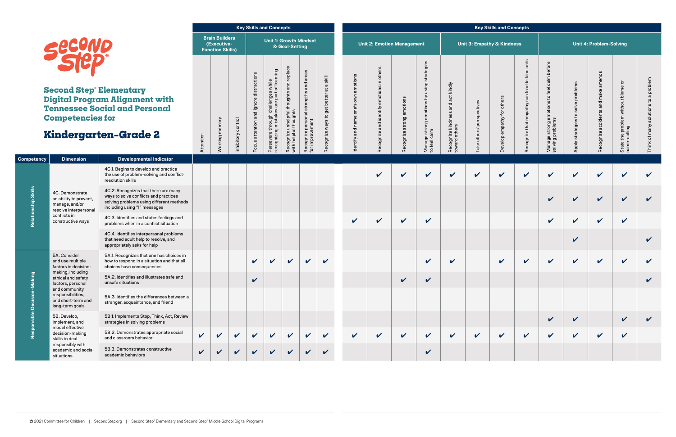

**Competency Dimension** 

**Relationship Skills**

**Relationship Skills** 

4C. Demonstrate an ability to prevent, manage, and/or resolve interpersonal

conflicts in constructive ways

|                                                                                                                                                           |                            |                                                                 |                    |                                         | <b>Key Skills and Concepts</b>                                                                                                                 |                                                                   |                                                           |                                                                                                                        |                                              |                                                                |                                 |                                                                      |                                                          |                              | <b>Key Skills and Concepts</b>          |                                              |                                                                           |                                             |                                     |                                                                       |                                         |
|-----------------------------------------------------------------------------------------------------------------------------------------------------------|----------------------------|-----------------------------------------------------------------|--------------------|-----------------------------------------|------------------------------------------------------------------------------------------------------------------------------------------------|-------------------------------------------------------------------|-----------------------------------------------------------|------------------------------------------------------------------------------------------------------------------------|----------------------------------------------|----------------------------------------------------------------|---------------------------------|----------------------------------------------------------------------|----------------------------------------------------------|------------------------------|-----------------------------------------|----------------------------------------------|---------------------------------------------------------------------------|---------------------------------------------|-------------------------------------|-----------------------------------------------------------------------|-----------------------------------------|
| D<br>$\circ$                                                                                                                                              |                            | <b>Brain Builders</b><br>(Executive-<br><b>Function Skills)</b> |                    |                                         | <b>Unit 1: Growth Mindset</b>                                                                                                                  | & Goal-Setting                                                    |                                                           |                                                                                                                        |                                              | <b>Unit 2: Emotion Management</b>                              |                                 |                                                                      |                                                          |                              | <b>Unit 3: Empathy &amp; Kindness</b>   |                                              |                                                                           |                                             | <b>Unit 4: Problem-Solving</b>      |                                                                       |                                         |
| lementary:<br>m Alignment with<br><b>ial and Personal</b><br>for<br>en-Grade 2                                                                            | Attention                  | Working memory                                                  | Inhibitory control | Focus attention and ignore distractions | enges while<br>epart of learning :<br>$\overline{5}$<br>recognizing mistakes are<br>chall<br>ᄾ<br>pugi<br>$\ddot{z}$<br>Persevere <sup>t</sup> | Recognize unhelpful thoughts and replace<br>with helpful thoughts | Recognize personal strengths and areas<br>for improvement | skill<br>$\boldsymbol{\varpi}$<br>$\overleftrightarrow{\mathbf{a}}$<br>get better<br>$\mathtt{S}$<br>ways<br>Recognize | emotions<br>one's own<br>name<br>dentify and | others<br>$\equiv$<br>emotions<br>identify<br>and<br>Recognize | emotions<br>strong<br>Recognize | using strategies<br>δ<br>emotions<br>Manage strong o<br>to feel calm | act kindly<br>and<br>Recognize kindness<br>toward others | others' perspectives<br>Take | others<br>tor<br>empathy<br>dole<br>Dev | Recognize that empathy can lead to kind acts | emotions to feel calm before<br>is<br>Manage strong e<br>solving problems | problems<br>solve<br>strategies to<br>Apply | Recognize accidents and make amends | ō<br>without blame<br>em<br>the proble<br>--calling<br>State<br>name- | a problem<br>Think of many solutions to |
| <b>Developmental Indicator</b>                                                                                                                            |                            |                                                                 |                    |                                         |                                                                                                                                                |                                                                   |                                                           |                                                                                                                        |                                              |                                                                |                                 |                                                                      |                                                          |                              |                                         |                                              |                                                                           |                                             |                                     |                                                                       |                                         |
| 4C.1. Begins to develop and practice<br>the use of problem-solving and conflict-<br>resolution skills                                                     |                            |                                                                 |                    |                                         |                                                                                                                                                |                                                                   |                                                           |                                                                                                                        |                                              | $\boldsymbol{\mathcal{U}}$                                     | $\checkmark$                    | $\checkmark$                                                         | V                                                        | V                            | $\boldsymbol{\mathcal{U}}$              | $\checkmark$                                 | $\boldsymbol{\mathcal{U}}$                                                | $\checkmark$                                | $\mathbf v$                         | $\checkmark$                                                          | V                                       |
| 4C.2. Recognizes that there are many<br>ways to solve conflicts and practices<br>solving problems using different methods<br>including using "I" messages |                            |                                                                 |                    |                                         |                                                                                                                                                |                                                                   |                                                           |                                                                                                                        |                                              |                                                                |                                 |                                                                      |                                                          |                              |                                         |                                              | $\boldsymbol{\mathcal{U}}$                                                | V                                           | $\checkmark$                        | $\boldsymbol{\mathcal{U}}$                                            |                                         |
| 4C.3. Identifies and states feelings and<br>problems when in a conflict situation                                                                         |                            |                                                                 |                    |                                         |                                                                                                                                                |                                                                   |                                                           |                                                                                                                        | $\checkmark$                                 | V                                                              | V                               | $\mathbf v$                                                          |                                                          |                              |                                         |                                              | $\boldsymbol{\mathcal{U}}$                                                | V                                           | $\checkmark$                        | $\checkmark$                                                          |                                         |
| 4C.4. Identifies interpersonal problems<br>that need adult help to resolve, and<br>appropriately asks for help                                            |                            |                                                                 |                    |                                         |                                                                                                                                                |                                                                   |                                                           |                                                                                                                        |                                              |                                                                |                                 |                                                                      |                                                          |                              |                                         |                                              |                                                                           | V                                           |                                     |                                                                       | V                                       |
| 5A.1. Recognizes that one has choices in<br>how to respond in a situation and that all<br>choices have consequences                                       |                            |                                                                 |                    | V                                       | $\boldsymbol{\mathcal{U}}$                                                                                                                     | $\boldsymbol{\mathcal{U}}$                                        | $\boldsymbol{\mathcal{U}}$                                | $\mathbf{v}$                                                                                                           |                                              |                                                                |                                 | $\checkmark$                                                         | $\checkmark$                                             |                              | $\boldsymbol{\mathcal{U}}$              | $\mathbf v$                                  | $\boldsymbol{\nu}$                                                        | V                                           | $\checkmark$                        | $\boldsymbol{\mathcal{U}}$                                            |                                         |
| 5A.2. Identifies and illustrates safe and<br>unsafe situations                                                                                            |                            |                                                                 |                    | $\checkmark$                            |                                                                                                                                                |                                                                   |                                                           |                                                                                                                        |                                              |                                                                | $\checkmark$                    | $\checkmark$                                                         |                                                          |                              |                                         |                                              |                                                                           |                                             |                                     |                                                                       | V                                       |
| 5A.3. Identifies the differences between a<br>stranger, acquaintance, and friend                                                                          |                            |                                                                 |                    |                                         |                                                                                                                                                |                                                                   |                                                           |                                                                                                                        |                                              |                                                                |                                 |                                                                      |                                                          |                              |                                         |                                              |                                                                           |                                             |                                     |                                                                       |                                         |
| 5B.1. Implements Stop, Think, Act, Review<br>strategies in solving problems                                                                               |                            |                                                                 |                    |                                         |                                                                                                                                                |                                                                   |                                                           |                                                                                                                        |                                              |                                                                |                                 |                                                                      |                                                          |                              |                                         |                                              | $\checkmark$                                                              | $\checkmark$                                |                                     | $\boldsymbol{\mathcal{U}}$                                            |                                         |
| 5B.2. Demonstrates appropriate social<br>and classroom behavior                                                                                           | $\boldsymbol{\mathcal{U}}$ | $\boldsymbol{\mathcal{U}}$                                      | V                  | $\checkmark$                            | $\checkmark$                                                                                                                                   | $\checkmark$                                                      | $\checkmark$                                              | $\boldsymbol{\mathcal{U}}$                                                                                             | $\mathbf v$                                  | $\boldsymbol{\mathcal{U}}$                                     | $\checkmark$                    | V                                                                    | $\boldsymbol{\mathcal{U}}$                               | $\boldsymbol{\mathcal{U}}$   | $\checkmark$                            | $\mathbf v$                                  | $\mathbf v$                                                               | $\checkmark$                                | $\checkmark$                        | $\mathbf{v}$                                                          |                                         |
| 5B.3. Demonstrates constructive<br>academic behaviors                                                                                                     | $\checkmark$               | V                                                               | $\checkmark$       | $\checkmark$                            | $\checkmark$                                                                                                                                   | $\checkmark$                                                      | $\checkmark$                                              | $\checkmark$                                                                                                           |                                              |                                                                |                                 | $\checkmark$                                                         |                                                          |                              |                                         |                                              |                                                                           |                                             |                                     |                                                                       |                                         |

**Second Step® Elem Digital Program Al Tennessee Social Competencies for**

# **Kindergarten-**

**Responsible Decision-Making**

Responsible

Decision-Making

5A. Consider and use multiple factors in decisionmaking, including ethical and safety factors, personal and community responsibilities, and short-term and long-term goals

5B. Develop, implement, and model effective decision-making skills to deal responsibly with academic and social

situations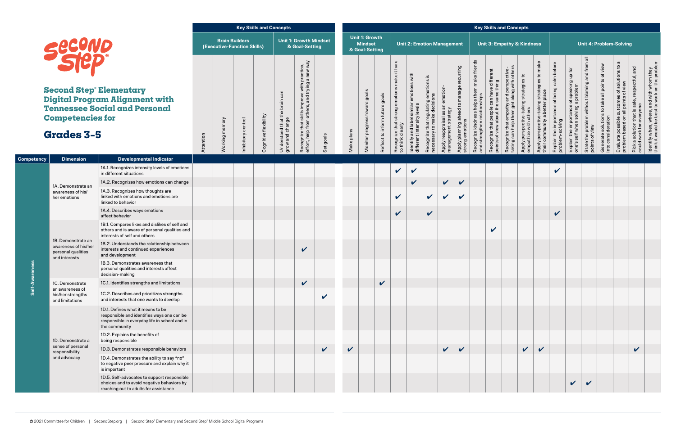|   |           |                       |                             | <b>Key Skills and Concepts</b> |                                                  |                                                                                                |              |              |                                                           |                                |                                                                 |                                                                        |                                                                      |                                                         |                                                             |                                                                            |                                                                                 | <b>Key Skills and Concepts</b>                                                        |                                                                 |                                                                               |                                                                |                                                                                |                                                                  |                                                                     |                                                                                     |                                                                          |                                                                                           |
|---|-----------|-----------------------|-----------------------------|--------------------------------|--------------------------------------------------|------------------------------------------------------------------------------------------------|--------------|--------------|-----------------------------------------------------------|--------------------------------|-----------------------------------------------------------------|------------------------------------------------------------------------|----------------------------------------------------------------------|---------------------------------------------------------|-------------------------------------------------------------|----------------------------------------------------------------------------|---------------------------------------------------------------------------------|---------------------------------------------------------------------------------------|-----------------------------------------------------------------|-------------------------------------------------------------------------------|----------------------------------------------------------------|--------------------------------------------------------------------------------|------------------------------------------------------------------|---------------------------------------------------------------------|-------------------------------------------------------------------------------------|--------------------------------------------------------------------------|-------------------------------------------------------------------------------------------|
|   |           | <b>Brain Builders</b> | (Executive-Function Skills) |                                |                                                  | <b>Unit 1: Growth Mindset</b><br>& Goal-Setting                                                |              |              | <b>Unit 1: Growth</b><br><b>Mindset</b><br>& Goal-Setting |                                |                                                                 |                                                                        | <b>Unit 2: Emotion Management</b>                                    |                                                         |                                                             |                                                                            |                                                                                 | <b>Unit 3: Empathy &amp; Kindness</b>                                                 |                                                                 |                                                                               |                                                                |                                                                                | <b>Unit 4: Problem-Solving</b>                                   |                                                                     |                                                                                     |                                                                          |                                                                                           |
|   | Attention | Working memory        | Inhibitory control          | Cognitive flexibility          | Understand that the brain can<br>grow and change | Recognize that skills improve with practice,<br>effort, help from others, and trying a new way | Set goals    | Make plans   | Monitor progress toward goals                             | Reflect to inform future goals | Recognize that strong emotions make it hard<br>to think clearly | Identify and label similar emotions with<br>different intensity levels | Recognize that regulating emotions is<br>necessary to make decisions | Apply reappraisal as an emotion-<br>management strategy | Apply planning ahead to manage recurring<br>strong emotions | Recognize kindness helps them make friends<br>and strengthen relationships | Recognize that people can have different<br>points of view about the same thing | Recognize that empathy and perspective-<br>taking can help them get along with others | Apply perspective-taking strategies to<br>empathize with others | Apply perspective-taking strategies to make<br>their community a better place | Explain the importance of being calm before<br>problem-solving | Explain the importance of speaking up for<br>one's self when solving a problem | State the problem without blaming and from all<br>points of view | Generate solutions to take all points of view<br>into consideration | Evaluate possible outcomes of solutions to a<br>problem based on all points of view | Pick a solution that is safe, respectful, and<br>could work for everyone | ldentify when, where, and with whom they<br>think it would be best to work on the problem |
|   |           |                       |                             |                                |                                                  |                                                                                                |              |              |                                                           |                                | $\boldsymbol{\mathcal{U}}$                                      | $\boldsymbol{\mathcal{U}}$                                             |                                                                      |                                                         |                                                             |                                                                            |                                                                                 |                                                                                       |                                                                 |                                                                               | V                                                              |                                                                                |                                                                  |                                                                     |                                                                                     |                                                                          |                                                                                           |
|   |           |                       |                             |                                |                                                  |                                                                                                |              |              |                                                           |                                |                                                                 | $\boldsymbol{\mathcal{U}}$                                             |                                                                      | $\checkmark$                                            | $\checkmark$                                                |                                                                            |                                                                                 |                                                                                       |                                                                 |                                                                               |                                                                |                                                                                |                                                                  |                                                                     |                                                                                     |                                                                          |                                                                                           |
|   |           |                       |                             |                                |                                                  |                                                                                                |              |              |                                                           |                                | $\boldsymbol{\mathcal{U}}$                                      |                                                                        | $\boldsymbol{\mathcal{U}}$                                           | $\checkmark$                                            | V                                                           |                                                                            |                                                                                 |                                                                                       |                                                                 |                                                                               |                                                                |                                                                                |                                                                  |                                                                     |                                                                                     |                                                                          |                                                                                           |
|   |           |                       |                             |                                |                                                  |                                                                                                |              |              |                                                           |                                | $\checkmark$                                                    |                                                                        | $\boldsymbol{\mathcal{U}}$                                           |                                                         |                                                             |                                                                            |                                                                                 |                                                                                       |                                                                 |                                                                               | V                                                              |                                                                                |                                                                  |                                                                     |                                                                                     |                                                                          |                                                                                           |
| d |           |                       |                             |                                |                                                  |                                                                                                |              |              |                                                           |                                |                                                                 |                                                                        |                                                                      |                                                         |                                                             |                                                                            | V                                                                               |                                                                                       |                                                                 |                                                                               |                                                                |                                                                                |                                                                  |                                                                     |                                                                                     |                                                                          |                                                                                           |
|   |           |                       |                             |                                |                                                  | V                                                                                              |              |              |                                                           |                                |                                                                 |                                                                        |                                                                      |                                                         |                                                             |                                                                            |                                                                                 |                                                                                       |                                                                 |                                                                               |                                                                |                                                                                |                                                                  |                                                                     |                                                                                     |                                                                          |                                                                                           |
|   |           |                       |                             |                                |                                                  |                                                                                                |              |              |                                                           |                                |                                                                 |                                                                        |                                                                      |                                                         |                                                             |                                                                            |                                                                                 |                                                                                       |                                                                 |                                                                               |                                                                |                                                                                |                                                                  |                                                                     |                                                                                     |                                                                          |                                                                                           |
|   |           |                       |                             |                                |                                                  | $\checkmark$                                                                                   |              |              |                                                           | $\checkmark$                   |                                                                 |                                                                        |                                                                      |                                                         |                                                             |                                                                            |                                                                                 |                                                                                       |                                                                 |                                                                               |                                                                |                                                                                |                                                                  |                                                                     |                                                                                     |                                                                          |                                                                                           |
|   |           |                       |                             |                                |                                                  |                                                                                                | $\checkmark$ |              |                                                           |                                |                                                                 |                                                                        |                                                                      |                                                         |                                                             |                                                                            |                                                                                 |                                                                                       |                                                                 |                                                                               |                                                                |                                                                                |                                                                  |                                                                     |                                                                                     |                                                                          |                                                                                           |
|   |           |                       |                             |                                |                                                  |                                                                                                |              |              |                                                           |                                |                                                                 |                                                                        |                                                                      |                                                         |                                                             |                                                                            |                                                                                 |                                                                                       |                                                                 |                                                                               |                                                                |                                                                                |                                                                  |                                                                     |                                                                                     |                                                                          |                                                                                           |
|   |           |                       |                             |                                |                                                  |                                                                                                |              |              |                                                           |                                |                                                                 |                                                                        |                                                                      |                                                         |                                                             |                                                                            |                                                                                 |                                                                                       |                                                                 |                                                                               |                                                                |                                                                                |                                                                  |                                                                     |                                                                                     |                                                                          |                                                                                           |
|   |           |                       |                             |                                |                                                  |                                                                                                | $\checkmark$ | $\checkmark$ |                                                           |                                |                                                                 |                                                                        |                                                                      | $\checkmark$                                            | V                                                           |                                                                            |                                                                                 |                                                                                       | V                                                               |                                                                               |                                                                |                                                                                |                                                                  |                                                                     |                                                                                     | V                                                                        |                                                                                           |
|   |           |                       |                             |                                |                                                  |                                                                                                |              |              |                                                           |                                |                                                                 |                                                                        |                                                                      |                                                         |                                                             |                                                                            |                                                                                 |                                                                                       |                                                                 |                                                                               |                                                                |                                                                                |                                                                  |                                                                     |                                                                                     |                                                                          |                                                                                           |
|   |           |                       |                             |                                |                                                  |                                                                                                |              |              |                                                           |                                |                                                                 |                                                                        |                                                                      |                                                         |                                                             |                                                                            |                                                                                 |                                                                                       |                                                                 |                                                                               |                                                                | $\boldsymbol{\mathcal{U}}$                                                     | V                                                                |                                                                     |                                                                                     |                                                                          |                                                                                           |

|                   | Second                                                      |                                                                                                                                                   |           | <b>Brain Builders</b> | (Executive-Function Skills) |                       |                                                  | <b>Unit 1: Growth Mindset</b><br>& Goal-Setting                            |                            |              | <b>Unit 1: Growth</b><br><b>Mindset</b><br>& Goal-Setting |                                |                                                    | <b>Unit 2: Emotion Management</b>                                   |                                                                      |                                                         |                                                   |                                                                            | <b>Unit 3: Empathy &amp; Kindness</b>                                           |                                                                                       |                                                                 |                                                                               |                                                                |                                                                                | <b>Unit 4: Problem-Solving</b>                                   |                                                                     |                                                                                |                                                                          |                                                                                           |
|-------------------|-------------------------------------------------------------|---------------------------------------------------------------------------------------------------------------------------------------------------|-----------|-----------------------|-----------------------------|-----------------------|--------------------------------------------------|----------------------------------------------------------------------------|----------------------------|--------------|-----------------------------------------------------------|--------------------------------|----------------------------------------------------|---------------------------------------------------------------------|----------------------------------------------------------------------|---------------------------------------------------------|---------------------------------------------------|----------------------------------------------------------------------------|---------------------------------------------------------------------------------|---------------------------------------------------------------------------------------|-----------------------------------------------------------------|-------------------------------------------------------------------------------|----------------------------------------------------------------|--------------------------------------------------------------------------------|------------------------------------------------------------------|---------------------------------------------------------------------|--------------------------------------------------------------------------------|--------------------------------------------------------------------------|-------------------------------------------------------------------------------------------|
|                   |                                                             |                                                                                                                                                   |           |                       |                             |                       |                                                  | practice,<br>a new way                                                     |                            |              |                                                           |                                | hard<br>$\pm$<br>make                              | with                                                                |                                                                      |                                                         | recurring                                         |                                                                            |                                                                                 |                                                                                       |                                                                 |                                                                               |                                                                |                                                                                |                                                                  |                                                                     | $\boldsymbol{\sigma}$<br>$\mathtt{S}$                                          |                                                                          |                                                                                           |
|                   | <b>Competencies for</b>                                     | <b>Second Step Elementary</b><br><b>Digital Program Alignment with</b><br><b>Tennessee Social and Personal</b>                                    |           |                       |                             |                       | Understand that the brain can<br>grow and change | Recognize that skills improve with<br>effort, help from others, and trying |                            |              | Monitor progress toward goals                             | Reflect to inform future goals | Recognize that strong emotions<br>to think clearly | emotion<br>Identify and label similar<br>different intensity levels | Recognize that regulating emotions is<br>necessary to make decisions | Apply reappraisal as an emotion-<br>management strategy | Apply planning ahead to manage<br>strong emotions | Recognize kindness helps them make friends<br>and strengthen relationships | Recognize that people can have different<br>points of view about the same thing | Recognize that empathy and perspective-<br>taking can help them get along with others | Apply perspective-taking strategies to<br>empathize with others | Apply perspective-taking strategies to make<br>their community a better place | Explain the importance of being calm before<br>problem-solving | Explain the importance of speaking up for<br>one's self when solving a problem | State the problem without blaming and from all<br>points of view | Generate solutions to take all points of view<br>into consideration | Evaluate possible outcomes of solutions<br>problem based on all points of view | Pick a solution that is safe, respectful, and<br>could work for everyone | ldentify when, where, and with whom they<br>think it would be best to work on the problem |
|                   | <b>Grades 3-5</b>                                           |                                                                                                                                                   | Attention | Working r             | Inhibitory control          | Cognitive flexibility |                                                  |                                                                            | Set goals                  | Make plans   |                                                           |                                |                                                    |                                                                     |                                                                      |                                                         |                                                   |                                                                            |                                                                                 |                                                                                       |                                                                 |                                                                               |                                                                |                                                                                |                                                                  |                                                                     |                                                                                |                                                                          |                                                                                           |
| <b>Competency</b> | <b>Dimension</b>                                            | Developmental Indicator                                                                                                                           |           |                       |                             |                       |                                                  |                                                                            |                            |              |                                                           |                                |                                                    |                                                                     |                                                                      |                                                         |                                                   |                                                                            |                                                                                 |                                                                                       |                                                                 |                                                                               |                                                                |                                                                                |                                                                  |                                                                     |                                                                                |                                                                          |                                                                                           |
|                   |                                                             | 1A.1. Recognizes intensity levels of emotions<br>in different situations                                                                          |           |                       |                             |                       |                                                  |                                                                            |                            |              |                                                           |                                | $\checkmark$                                       | $\boldsymbol{\mathcal{U}}$                                          |                                                                      |                                                         |                                                   |                                                                            |                                                                                 |                                                                                       |                                                                 |                                                                               | $\sqrt{2}$                                                     |                                                                                |                                                                  |                                                                     |                                                                                |                                                                          |                                                                                           |
|                   |                                                             | 1A.2. Recognizes how emotions can change                                                                                                          |           |                       |                             |                       |                                                  |                                                                            |                            |              |                                                           |                                |                                                    | $\boldsymbol{\mathcal{U}}$                                          |                                                                      | $\checkmark$                                            | $\mathbf v$                                       |                                                                            |                                                                                 |                                                                                       |                                                                 |                                                                               |                                                                |                                                                                |                                                                  |                                                                     |                                                                                |                                                                          |                                                                                           |
|                   | 1A. Demonstrate an<br>awareness of hisl<br>her emotions     | 1A.3. Recognizes how thoughts are<br>linked with emotions and emotions are<br>linked to behavior                                                  |           |                       |                             |                       |                                                  |                                                                            |                            |              |                                                           |                                | $\checkmark$                                       |                                                                     | V                                                                    | $\mathbf v$                                             | $\boldsymbol{\mathcal{U}}$                        |                                                                            |                                                                                 |                                                                                       |                                                                 |                                                                               |                                                                |                                                                                |                                                                  |                                                                     |                                                                                |                                                                          |                                                                                           |
|                   |                                                             | 1A.4. Describes ways emotions<br>affect behavior                                                                                                  |           |                       |                             |                       |                                                  |                                                                            |                            |              |                                                           |                                | $\checkmark$                                       |                                                                     | $\boldsymbol{\mathcal{U}}$                                           |                                                         |                                                   |                                                                            |                                                                                 |                                                                                       |                                                                 |                                                                               | $\checkmark$                                                   |                                                                                |                                                                  |                                                                     |                                                                                |                                                                          |                                                                                           |
|                   | 1B. Demonstrate an                                          | 1B.1. Compares likes and dislikes of self and<br>others and is aware of personal qualities and<br>interests of self and others                    |           |                       |                             |                       |                                                  |                                                                            |                            |              |                                                           |                                |                                                    |                                                                     |                                                                      |                                                         |                                                   |                                                                            | $\boldsymbol{\mathcal{U}}$                                                      |                                                                                       |                                                                 |                                                                               |                                                                |                                                                                |                                                                  |                                                                     |                                                                                |                                                                          |                                                                                           |
|                   | awareness of his/her<br>personal qualities<br>and interests | 1B.2. Understands the relationship between<br>interests and continued experiences<br>and development                                              |           |                       |                             |                       |                                                  | $\checkmark$                                                               |                            |              |                                                           |                                |                                                    |                                                                     |                                                                      |                                                         |                                                   |                                                                            |                                                                                 |                                                                                       |                                                                 |                                                                               |                                                                |                                                                                |                                                                  |                                                                     |                                                                                |                                                                          |                                                                                           |
|                   |                                                             | 1B.3. Demonstrates awareness that<br>personal qualities and interests affect<br>decision-making                                                   |           |                       |                             |                       |                                                  |                                                                            |                            |              |                                                           |                                |                                                    |                                                                     |                                                                      |                                                         |                                                   |                                                                            |                                                                                 |                                                                                       |                                                                 |                                                                               |                                                                |                                                                                |                                                                  |                                                                     |                                                                                |                                                                          |                                                                                           |
|                   | 1C. Demonstrate                                             | 1C.1. Identifies strengths and limitations                                                                                                        |           |                       |                             |                       |                                                  | $\checkmark$                                                               |                            |              |                                                           | $\checkmark$                   |                                                    |                                                                     |                                                                      |                                                         |                                                   |                                                                            |                                                                                 |                                                                                       |                                                                 |                                                                               |                                                                |                                                                                |                                                                  |                                                                     |                                                                                |                                                                          |                                                                                           |
| Self-Aw           | an awareness of<br>his/her strengths<br>and limitations     | 1C.2. Describes and prioritizes strengths<br>and interests that one wants to develop                                                              |           |                       |                             |                       |                                                  |                                                                            | $\boldsymbol{\mathcal{U}}$ |              |                                                           |                                |                                                    |                                                                     |                                                                      |                                                         |                                                   |                                                                            |                                                                                 |                                                                                       |                                                                 |                                                                               |                                                                |                                                                                |                                                                  |                                                                     |                                                                                |                                                                          |                                                                                           |
|                   |                                                             | 1D.1. Defines what it means to be<br>responsible and identifies ways one can be<br>responsible in everyday life in school and in<br>the community |           |                       |                             |                       |                                                  |                                                                            |                            |              |                                                           |                                |                                                    |                                                                     |                                                                      |                                                         |                                                   |                                                                            |                                                                                 |                                                                                       |                                                                 |                                                                               |                                                                |                                                                                |                                                                  |                                                                     |                                                                                |                                                                          |                                                                                           |
|                   | 1D. Demonstrate a                                           | 1D.2. Explains the benefits of<br>being responsible                                                                                               |           |                       |                             |                       |                                                  |                                                                            |                            |              |                                                           |                                |                                                    |                                                                     |                                                                      |                                                         |                                                   |                                                                            |                                                                                 |                                                                                       |                                                                 |                                                                               |                                                                |                                                                                |                                                                  |                                                                     |                                                                                |                                                                          |                                                                                           |
|                   | sense of personal<br>responsibility                         | 1D.3. Demonstrates responsible behaviors                                                                                                          |           |                       |                             |                       |                                                  |                                                                            | $\checkmark$               | $\checkmark$ |                                                           |                                |                                                    |                                                                     |                                                                      | $\checkmark$                                            | $\checkmark$                                      |                                                                            |                                                                                 |                                                                                       | $\mathbf{v}$                                                    | $\boldsymbol{\mathcal{U}}$                                                    |                                                                |                                                                                |                                                                  |                                                                     |                                                                                | $\checkmark$                                                             |                                                                                           |
|                   | and advocacy                                                | 1D.4. Demonstrates the ability to say "no"<br>to negative peer pressure and explain why it<br>is important                                        |           |                       |                             |                       |                                                  |                                                                            |                            |              |                                                           |                                |                                                    |                                                                     |                                                                      |                                                         |                                                   |                                                                            |                                                                                 |                                                                                       |                                                                 |                                                                               |                                                                |                                                                                |                                                                  |                                                                     |                                                                                |                                                                          |                                                                                           |
|                   |                                                             | 1D.5. Self-advocates to support responsible<br>choices and to avoid negative behaviors by<br>reaching out to adults for assistance                |           |                       |                             |                       |                                                  |                                                                            |                            |              |                                                           |                                |                                                    |                                                                     |                                                                      |                                                         |                                                   |                                                                            |                                                                                 |                                                                                       |                                                                 |                                                                               |                                                                | $\checkmark$                                                                   | $\checkmark$                                                     |                                                                     |                                                                                |                                                                          |                                                                                           |

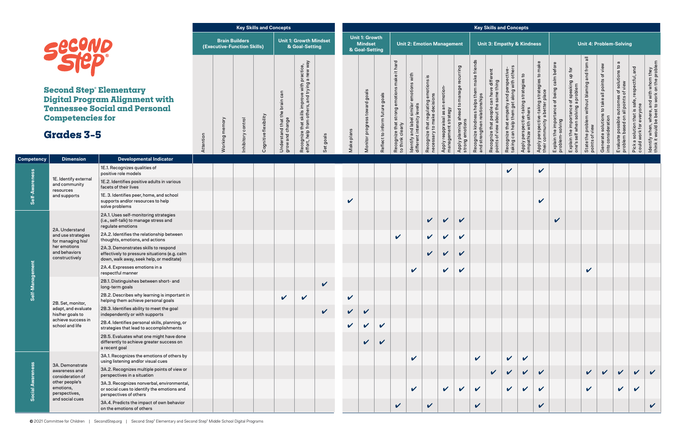|      |           |                |                                                      | <b>Key Skills and Concepts</b> |                                                  |                                                                                                |              |              |                                                           |                                |                                                                 |                                                                        |                                                                      |                                                         |                                                             |                                                                            | <b>Key Skills and Concepts</b>                                                  |                                                                                       |                                                                 |                                                                               |                                                                |                                                                                |                                                                  |                                                                     |                                                                                               |                                                                          |                                                                                           |
|------|-----------|----------------|------------------------------------------------------|--------------------------------|--------------------------------------------------|------------------------------------------------------------------------------------------------|--------------|--------------|-----------------------------------------------------------|--------------------------------|-----------------------------------------------------------------|------------------------------------------------------------------------|----------------------------------------------------------------------|---------------------------------------------------------|-------------------------------------------------------------|----------------------------------------------------------------------------|---------------------------------------------------------------------------------|---------------------------------------------------------------------------------------|-----------------------------------------------------------------|-------------------------------------------------------------------------------|----------------------------------------------------------------|--------------------------------------------------------------------------------|------------------------------------------------------------------|---------------------------------------------------------------------|-----------------------------------------------------------------------------------------------|--------------------------------------------------------------------------|-------------------------------------------------------------------------------------------|
|      |           |                | <b>Brain Builders</b><br>(Executive-Function Skills) |                                |                                                  | <b>Unit 1: Growth Mindset</b><br>& Goal-Setting                                                |              |              | <b>Unit 1: Growth</b><br><b>Mindset</b><br>& Goal-Setting |                                |                                                                 |                                                                        | <b>Unit 2: Emotion Management</b>                                    |                                                         |                                                             |                                                                            |                                                                                 |                                                                                       | <b>Unit 3: Empathy &amp; Kindness</b>                           |                                                                               |                                                                |                                                                                |                                                                  | <b>Unit 4: Problem-Solving</b>                                      |                                                                                               |                                                                          |                                                                                           |
|      | Attention | Working memory | control<br>Inhibitory                                | Cognitive flexibility          | Understand that the brain can<br>grow and change | Recognize that skills improve with practice,<br>effort, help from others, and trying a new way | Set goals    | Make plans   | Monitor progress toward goals                             | Reflect to inform future goals | Recognize that strong emotions make it hard<br>to think clearly | Identify and label similar emotions with<br>different intensity levels | Recognize that regulating emotions is<br>necessary to make decisions | Apply reappraisal as an emotion-<br>management strategy | Apply planning ahead to manage recurring<br>strong emotions | Recognize kindness helps them make friends<br>and strengthen relationships | Recognize that people can have different<br>points of view about the same thing | taking can help them get along with others<br>Recognize that empathy and perspective- | Apply perspective-taking strategies to<br>empathize with others | Apply perspective-taking strategies to make<br>their community a better place | Explain the importance of being calm before<br>problem-solving | Explain the importance of speaking up for<br>one's self when solving a problem | State the problem without blaming and from all<br>points of view | Generate solutions to take all points of view<br>into consideration | $\varpi$<br>Evaluate possible outcomes of solutions to<br>problem based on all points of view | Pick a solution that is safe, respectful, and<br>could work for everyone | ldentify when, where, and with whom they<br>think it would be best to work on the problem |
|      |           |                |                                                      |                                |                                                  |                                                                                                |              |              |                                                           |                                |                                                                 |                                                                        |                                                                      |                                                         |                                                             |                                                                            |                                                                                 | V                                                                                     |                                                                 | V                                                                             |                                                                |                                                                                |                                                                  |                                                                     |                                                                                               |                                                                          |                                                                                           |
|      |           |                |                                                      |                                |                                                  |                                                                                                |              |              |                                                           |                                |                                                                 |                                                                        |                                                                      |                                                         |                                                             |                                                                            |                                                                                 |                                                                                       |                                                                 |                                                                               |                                                                |                                                                                |                                                                  |                                                                     |                                                                                               |                                                                          |                                                                                           |
|      |           |                |                                                      |                                |                                                  |                                                                                                |              | $\checkmark$ |                                                           |                                |                                                                 |                                                                        |                                                                      |                                                         |                                                             |                                                                            |                                                                                 |                                                                                       |                                                                 | V                                                                             |                                                                |                                                                                |                                                                  |                                                                     |                                                                                               |                                                                          |                                                                                           |
|      |           |                |                                                      |                                |                                                  |                                                                                                |              |              |                                                           |                                |                                                                 |                                                                        | V                                                                    | V                                                       | V                                                           |                                                                            |                                                                                 |                                                                                       |                                                                 |                                                                               | V                                                              |                                                                                |                                                                  |                                                                     |                                                                                               |                                                                          |                                                                                           |
|      |           |                |                                                      |                                |                                                  |                                                                                                |              |              |                                                           |                                | V                                                               |                                                                        | $\boldsymbol{\mathcal{U}}$                                           | V                                                       | V                                                           |                                                                            |                                                                                 |                                                                                       |                                                                 |                                                                               |                                                                |                                                                                |                                                                  |                                                                     |                                                                                               |                                                                          |                                                                                           |
| n.   |           |                |                                                      |                                |                                                  |                                                                                                |              |              |                                                           |                                |                                                                 |                                                                        | V                                                                    | V                                                       | V                                                           |                                                                            |                                                                                 |                                                                                       |                                                                 |                                                                               |                                                                |                                                                                |                                                                  |                                                                     |                                                                                               |                                                                          |                                                                                           |
|      |           |                |                                                      |                                |                                                  |                                                                                                |              |              |                                                           |                                |                                                                 | V                                                                      |                                                                      |                                                         |                                                             |                                                                            |                                                                                 |                                                                                       |                                                                 |                                                                               |                                                                |                                                                                | V                                                                |                                                                     |                                                                                               |                                                                          |                                                                                           |
|      |           |                |                                                      |                                |                                                  |                                                                                                | $\checkmark$ |              |                                                           |                                |                                                                 |                                                                        |                                                                      |                                                         |                                                             |                                                                            |                                                                                 |                                                                                       |                                                                 |                                                                               |                                                                |                                                                                |                                                                  |                                                                     |                                                                                               |                                                                          |                                                                                           |
| t in |           |                |                                                      |                                | $\checkmark$                                     | $\checkmark$                                                                                   |              | $\checkmark$ |                                                           |                                |                                                                 |                                                                        |                                                                      |                                                         |                                                             |                                                                            |                                                                                 |                                                                                       |                                                                 |                                                                               |                                                                |                                                                                |                                                                  |                                                                     |                                                                                               |                                                                          |                                                                                           |
|      |           |                |                                                      |                                |                                                  |                                                                                                | $\checkmark$ | $\checkmark$ | $\checkmark$                                              |                                |                                                                 |                                                                        |                                                                      |                                                         |                                                             |                                                                            |                                                                                 |                                                                                       |                                                                 |                                                                               |                                                                |                                                                                |                                                                  |                                                                     |                                                                                               |                                                                          |                                                                                           |
|      |           |                |                                                      |                                |                                                  |                                                                                                |              | $\mathbf{v}$ | $\checkmark$                                              | $\mathbf v$                    |                                                                 |                                                                        |                                                                      |                                                         |                                                             |                                                                            |                                                                                 |                                                                                       |                                                                 |                                                                               |                                                                |                                                                                |                                                                  |                                                                     |                                                                                               |                                                                          |                                                                                           |
|      |           |                |                                                      |                                |                                                  |                                                                                                |              |              | $\checkmark$                                              | $\mathbf{v}$                   |                                                                 |                                                                        |                                                                      |                                                         |                                                             |                                                                            |                                                                                 |                                                                                       |                                                                 |                                                                               |                                                                |                                                                                |                                                                  |                                                                     |                                                                                               |                                                                          |                                                                                           |
| у    |           |                |                                                      |                                |                                                  |                                                                                                |              |              |                                                           |                                |                                                                 | $\mathbf{v}$                                                           |                                                                      |                                                         |                                                             | $\mathbf{v}$                                                               |                                                                                 | $\mathbf{v}$                                                                          | $\checkmark$                                                    |                                                                               |                                                                |                                                                                |                                                                  |                                                                     |                                                                                               |                                                                          |                                                                                           |
| pr.  |           |                |                                                      |                                |                                                  |                                                                                                |              |              |                                                           |                                |                                                                 |                                                                        |                                                                      |                                                         |                                                             |                                                                            | $\checkmark$                                                                    | $\checkmark$                                                                          | $\checkmark$                                                    | $\mathbf v$                                                                   |                                                                |                                                                                | $\checkmark$                                                     |                                                                     | $\checkmark$                                                                                  | $\mathbf v$                                                              |                                                                                           |
| al,  |           |                |                                                      |                                |                                                  |                                                                                                |              |              |                                                           |                                |                                                                 | $\mathbf v$                                                            |                                                                      | $\mathbf{v}$                                            |                                                             |                                                                            |                                                                                 | $\mathbf{v}$                                                                          | V                                                               | V                                                                             |                                                                |                                                                                | V                                                                |                                                                     | $\checkmark$                                                                                  | V                                                                        |                                                                                           |
|      |           |                |                                                      |                                |                                                  |                                                                                                |              |              |                                                           |                                | $\checkmark$                                                    |                                                                        | $\checkmark$                                                         |                                                         |                                                             | $\checkmark$                                                               |                                                                                 |                                                                                       |                                                                 | $\checkmark$                                                                  |                                                                |                                                                                |                                                                  |                                                                     |                                                                                               |                                                                          | V                                                                                         |

|                      |                                                                 |                                                                                                                                   |           |                             |                       | <b>Rey Skills and Concepts</b> |                                                  |                                                                            |              |              |                                                           |                                |                                                    |                                                          |                                                                      |                                                         |                                                             |                                                                            | <b>Rey Skills and Concepts</b>                                                  |                                                                                       |                                                                 |                                                                               |                                                                |                                                                                |                                                                  |                                                                     |                                                                                   |                                                                      |                                                                                           |
|----------------------|-----------------------------------------------------------------|-----------------------------------------------------------------------------------------------------------------------------------|-----------|-----------------------------|-----------------------|--------------------------------|--------------------------------------------------|----------------------------------------------------------------------------|--------------|--------------|-----------------------------------------------------------|--------------------------------|----------------------------------------------------|----------------------------------------------------------|----------------------------------------------------------------------|---------------------------------------------------------|-------------------------------------------------------------|----------------------------------------------------------------------------|---------------------------------------------------------------------------------|---------------------------------------------------------------------------------------|-----------------------------------------------------------------|-------------------------------------------------------------------------------|----------------------------------------------------------------|--------------------------------------------------------------------------------|------------------------------------------------------------------|---------------------------------------------------------------------|-----------------------------------------------------------------------------------|----------------------------------------------------------------------|-------------------------------------------------------------------------------------------|
|                      |                                                                 |                                                                                                                                   |           | (Executive-Function Skills) | <b>Brain Builders</b> |                                |                                                  | <b>Unit 1: Growth Mindset</b><br>& Goal-Setting                            |              |              | <b>Unit 1: Growth</b><br><b>Mindset</b><br>& Goal-Setting |                                |                                                    | <b>Unit 2: Emotion Management</b>                        |                                                                      |                                                         |                                                             |                                                                            | <b>Unit 3: Empathy &amp; Kindness</b>                                           |                                                                                       |                                                                 |                                                                               |                                                                |                                                                                |                                                                  |                                                                     | <b>Unit 4: Problem-Solving</b>                                                    |                                                                      |                                                                                           |
|                      | <b>Second</b>                                                   |                                                                                                                                   |           |                             |                       |                                |                                                  | practice,<br>I a new way                                                   |              |              |                                                           |                                | hard<br>make it                                    | with                                                     |                                                                      |                                                         |                                                             |                                                                            |                                                                                 |                                                                                       |                                                                 |                                                                               |                                                                |                                                                                |                                                                  |                                                                     | ত                                                                                 | and                                                                  |                                                                                           |
|                      | <b>Second Step® Elementary</b><br><b>Competencies for</b>       | <b>Digital Program Alignment with</b><br><b>Tennessee Social and Personal</b>                                                     |           |                             |                       |                                | Understand that the brain can<br>grow and change | Recognize that skills improve with<br>effort, help from others, and trying |              |              | Monitor progress toward goals                             | Reflect to inform future goals | Recognize that strong emotions<br>:o think clearly | emotions                                                 | Recognize that regulating emotions is<br>necessary to make decisions | Apply reappraisal as an emotion-<br>management strategy | Apply planning ahead to manage recurring<br>strong emotions | Recognize kindness helps them make friends<br>and strengthen relationships | Recognize that people can have different<br>points of view about the same thing | Recognize that empathy and perspective-<br>taking can help them get along with others | Apply perspective-taking strategies to<br>empathize with others | Apply perspective-taking strategies to make<br>their community a better place | Explain the importance of being calm before<br>problem-solving | Explain the importance of speaking up for<br>one's self when solving a problem | State the problem without blaming and from all<br>points of view | Generate solutions to take all points of view<br>into consideration | Evaluate possible outcomes of solutions to<br>problem based on all points of view | Pick a solution that is safe, respectful,<br>could work for everyone | ldentify when, where, and with whom they<br>think it would be best to work on the probler |
|                      | <b>Grades 3-5</b>                                               |                                                                                                                                   | Attention | Working memory              | Inhibitory control    | Cognitive flexibility          |                                                  |                                                                            | Set goals    | Make plans   |                                                           |                                |                                                    | Identify and label similar<br>different intensity levels |                                                                      |                                                         |                                                             |                                                                            |                                                                                 |                                                                                       |                                                                 |                                                                               |                                                                |                                                                                |                                                                  |                                                                     |                                                                                   |                                                                      |                                                                                           |
| <b>Competency</b>    | <b>Dimension</b>                                                | <b>Developmental Indicator</b>                                                                                                    |           |                             |                       |                                |                                                  |                                                                            |              |              |                                                           |                                |                                                    |                                                          |                                                                      |                                                         |                                                             |                                                                            |                                                                                 |                                                                                       |                                                                 |                                                                               |                                                                |                                                                                |                                                                  |                                                                     |                                                                                   |                                                                      |                                                                                           |
|                      |                                                                 | 1E.1. Recognizes qualities of<br>positive role models                                                                             |           |                             |                       |                                |                                                  |                                                                            |              |              |                                                           |                                |                                                    |                                                          |                                                                      |                                                         |                                                             |                                                                            |                                                                                 | $\checkmark$                                                                          |                                                                 | $\boldsymbol{\mathcal{U}}$                                                    |                                                                |                                                                                |                                                                  |                                                                     |                                                                                   |                                                                      |                                                                                           |
| Self-Awarene         | 1E. Identify external<br>and community<br>resources             | 1E.2. Identifies positive adults in various<br>facets of their lives                                                              |           |                             |                       |                                |                                                  |                                                                            |              |              |                                                           |                                |                                                    |                                                          |                                                                      |                                                         |                                                             |                                                                            |                                                                                 |                                                                                       |                                                                 |                                                                               |                                                                |                                                                                |                                                                  |                                                                     |                                                                                   |                                                                      |                                                                                           |
|                      | and supports                                                    | 1E. 3. Identifies peer, home, and school<br>supports and/or resources to help<br>solve problems                                   |           |                             |                       |                                |                                                  |                                                                            |              | $\checkmark$ |                                                           |                                |                                                    |                                                          |                                                                      |                                                         |                                                             |                                                                            |                                                                                 |                                                                                       |                                                                 | $\boldsymbol{\mathcal{U}}$                                                    |                                                                |                                                                                |                                                                  |                                                                     |                                                                                   |                                                                      |                                                                                           |
|                      | 2A. Understand                                                  | 2A.1. Uses self-monitoring strategies<br>(i.e., self-talk) to manage stress and<br>regulate emotions                              |           |                             |                       |                                |                                                  |                                                                            |              |              |                                                           |                                |                                                    |                                                          | $\checkmark$                                                         | $\checkmark$                                            | $\checkmark$                                                |                                                                            |                                                                                 |                                                                                       |                                                                 |                                                                               | $\checkmark$                                                   |                                                                                |                                                                  |                                                                     |                                                                                   |                                                                      |                                                                                           |
| nent                 | and use strategies<br>for managing hisl                         | 2A.2. Identifies the relationship between<br>thoughts, emotions, and actions                                                      |           |                             |                       |                                |                                                  |                                                                            |              |              |                                                           |                                | $\checkmark$                                       |                                                          | V                                                                    | $\boldsymbol{\nu}$                                      | $\checkmark$                                                |                                                                            |                                                                                 |                                                                                       |                                                                 |                                                                               |                                                                |                                                                                |                                                                  |                                                                     |                                                                                   |                                                                      |                                                                                           |
|                      | her emotions<br>and behaviors<br>constructively                 | 2A.3. Demonstrates skills to respond<br>effectively to pressure situations (e.g. calm<br>down, walk away, seek help, or meditate) |           |                             |                       |                                |                                                  |                                                                            |              |              |                                                           |                                |                                                    |                                                          | $\boldsymbol{\mathcal{U}}$                                           | V                                                       | $\checkmark$                                                |                                                                            |                                                                                 |                                                                                       |                                                                 |                                                                               |                                                                |                                                                                |                                                                  |                                                                     |                                                                                   |                                                                      |                                                                                           |
|                      |                                                                 | 2A.4. Expresses emotions in a<br>respectful manner                                                                                |           |                             |                       |                                |                                                  |                                                                            |              |              |                                                           |                                |                                                    | $\checkmark$                                             |                                                                      | $\checkmark$                                            | $\checkmark$                                                |                                                                            |                                                                                 |                                                                                       |                                                                 |                                                                               |                                                                |                                                                                | V                                                                |                                                                     |                                                                                   |                                                                      |                                                                                           |
| Self-Mana            |                                                                 | 2B.1. Distinguishes between short- and<br>long-term goals                                                                         |           |                             |                       |                                |                                                  |                                                                            | $\checkmark$ |              |                                                           |                                |                                                    |                                                          |                                                                      |                                                         |                                                             |                                                                            |                                                                                 |                                                                                       |                                                                 |                                                                               |                                                                |                                                                                |                                                                  |                                                                     |                                                                                   |                                                                      |                                                                                           |
|                      | 2B. Set, monitor,                                               | 2B.2. Describes why learning is important in<br>helping them achieve personal goals                                               |           |                             |                       |                                | $\boldsymbol{\nu}$                               | $\checkmark$                                                               |              | $\checkmark$ |                                                           |                                |                                                    |                                                          |                                                                      |                                                         |                                                             |                                                                            |                                                                                 |                                                                                       |                                                                 |                                                                               |                                                                |                                                                                |                                                                  |                                                                     |                                                                                   |                                                                      |                                                                                           |
|                      | adapt, and evaluate<br>his/her goals to<br>achieve success in   | 2B.3. Identifies ability to meet the goal<br>independently or with supports                                                       |           |                             |                       |                                |                                                  |                                                                            | $\checkmark$ | $\checkmark$ | $\checkmark$                                              |                                |                                                    |                                                          |                                                                      |                                                         |                                                             |                                                                            |                                                                                 |                                                                                       |                                                                 |                                                                               |                                                                |                                                                                |                                                                  |                                                                     |                                                                                   |                                                                      |                                                                                           |
|                      | school and life                                                 | 2B.4. Identifies personal skills, planning, or<br>strategies that lead to accomplishments                                         |           |                             |                       |                                |                                                  |                                                                            |              | $\mathbf v$  |                                                           | $\boldsymbol{\mathcal{U}}$     |                                                    |                                                          |                                                                      |                                                         |                                                             |                                                                            |                                                                                 |                                                                                       |                                                                 |                                                                               |                                                                |                                                                                |                                                                  |                                                                     |                                                                                   |                                                                      |                                                                                           |
|                      |                                                                 | 2B.5. Evaluates what one might have done<br>differently to achieve greater success on<br>a recent goal                            |           |                             |                       |                                |                                                  |                                                                            |              |              | $\boldsymbol{\mathcal{U}}$                                | $\boldsymbol{\nu}$             |                                                    |                                                          |                                                                      |                                                         |                                                             |                                                                            |                                                                                 |                                                                                       |                                                                 |                                                                               |                                                                |                                                                                |                                                                  |                                                                     |                                                                                   |                                                                      |                                                                                           |
|                      | 3A. Demonstrate                                                 | 3A.1. Recognizes the emotions of others by<br>using listening and/or visual cues                                                  |           |                             |                       |                                |                                                  |                                                                            |              |              |                                                           |                                |                                                    | $\boldsymbol{\mathcal{U}}$                               |                                                                      |                                                         |                                                             | $\boldsymbol{\nu}$                                                         |                                                                                 | $\checkmark$                                                                          | $\boldsymbol{\mathcal{U}}$                                      |                                                                               |                                                                |                                                                                |                                                                  |                                                                     |                                                                                   |                                                                      |                                                                                           |
|                      | awareness and<br>consideration of                               | 3A.2. Recognizes multiple points of view or<br>perspectives in a situation                                                        |           |                             |                       |                                |                                                  |                                                                            |              |              |                                                           |                                |                                                    |                                                          |                                                                      |                                                         |                                                             |                                                                            | $\mathbf v$                                                                     | $\checkmark$                                                                          | $\mathbf v$                                                     | $\boldsymbol{\mathcal{U}}$                                                    |                                                                |                                                                                | $\checkmark$                                                     | $\boldsymbol{\mathcal{U}}$                                          | $\checkmark$                                                                      | $\mathbf v$                                                          |                                                                                           |
| <b>Social Awaren</b> | other people's<br>emotions,<br>perspectives,<br>and social cues | 3A.3. Recognizes nonverbal, environmental,<br>or social cues to identify the emotions and<br>perspectives of others               |           |                             |                       |                                |                                                  |                                                                            |              |              |                                                           |                                |                                                    | $\mathbf v$                                              |                                                                      | $\mathbf v$                                             | V                                                           | $\checkmark$                                                               |                                                                                 | $\checkmark$                                                                          | V                                                               | $\boldsymbol{\mathcal{U}}$                                                    |                                                                |                                                                                | $\checkmark$                                                     |                                                                     | $\checkmark$                                                                      | $\mathbf v$                                                          |                                                                                           |
|                      |                                                                 | 3A.4. Predicts the impact of own behavior<br>on the emotions of others                                                            |           |                             |                       |                                |                                                  |                                                                            |              |              |                                                           |                                | $\checkmark$                                       |                                                          | $\boldsymbol{\mathcal{U}}$                                           |                                                         |                                                             | $\boldsymbol{\mathcal{U}}$                                                 |                                                                                 |                                                                                       |                                                                 | $\boldsymbol{\mathcal{U}}$                                                    |                                                                |                                                                                |                                                                  |                                                                     |                                                                                   |                                                                      | $\checkmark$                                                                              |

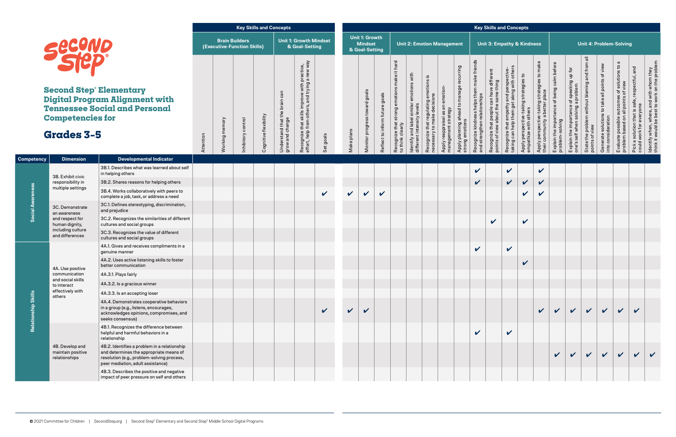|           |                       |                             | <b>Key Skills and Concepts</b> |                                                  |                                                                                                |              |              |                                                           |                                |                                                                 |                                                                        |                                                                      |                                                         |                                                             |                                                                            |                                                                                 | <b>Key Skills and Concepts</b>                                                        |                                                                 |                                                                               |                                                                |                                                                                |                                                                  |                                                                     |                                                                                     |                                                                          |                                                                                           |
|-----------|-----------------------|-----------------------------|--------------------------------|--------------------------------------------------|------------------------------------------------------------------------------------------------|--------------|--------------|-----------------------------------------------------------|--------------------------------|-----------------------------------------------------------------|------------------------------------------------------------------------|----------------------------------------------------------------------|---------------------------------------------------------|-------------------------------------------------------------|----------------------------------------------------------------------------|---------------------------------------------------------------------------------|---------------------------------------------------------------------------------------|-----------------------------------------------------------------|-------------------------------------------------------------------------------|----------------------------------------------------------------|--------------------------------------------------------------------------------|------------------------------------------------------------------|---------------------------------------------------------------------|-------------------------------------------------------------------------------------|--------------------------------------------------------------------------|-------------------------------------------------------------------------------------------|
|           | <b>Brain Builders</b> | (Executive-Function Skills) |                                |                                                  | <b>Unit 1: Growth Mindset</b><br>& Goal-Setting                                                |              |              | <b>Unit 1: Growth</b><br><b>Mindset</b><br>& Goal-Setting |                                |                                                                 |                                                                        | <b>Unit 2: Emotion Management</b>                                    |                                                         |                                                             |                                                                            |                                                                                 | <b>Unit 3: Empathy &amp; Kindness</b>                                                 |                                                                 |                                                                               |                                                                |                                                                                | <b>Unit 4: Problem-Solving</b>                                   |                                                                     |                                                                                     |                                                                          |                                                                                           |
| Attention | Working memory        | Inhibitory control          | Cognitive flexibility          | Understand that the brain can<br>grow and change | Recognize that skills improve with practice,<br>effort, help from others, and trying a new way | Set goals    | Make plans   | Monitor progress toward goals                             | Reflect to inform future goals | Recognize that strong emotions make it hard<br>to think clearly | Identify and label similar emotions with<br>different intensity levels | Recognize that regulating emotions is<br>necessary to make decisions | Apply reappraisal as an emotion-<br>management strategy | Apply planning ahead to manage recurring<br>strong emotions | Recognize kindness helps them make friends<br>and strengthen relationships | Recognize that people can have different<br>points of view about the same thing | Recognize that empathy and perspective-<br>taking can help them get along with others | Apply perspective-taking strategies to<br>empathize with others | Apply perspective-taking strategies to make<br>their community a better place | Explain the importance of being calm before<br>problem-solving | Explain the importance of speaking up for<br>one's self when solving a problem | State the problem without blaming and from all<br>points of view | Generate solutions to take all points of view<br>into consideration | Evaluate possible outcomes of solutions to a<br>problem based on all points of view | Pick a solution that is safe, respectful, and<br>could work for everyone | ldentify when, where, and with whom they<br>think it would be best to work on the problem |
|           |                       |                             |                                |                                                  |                                                                                                |              |              |                                                           |                                |                                                                 |                                                                        |                                                                      |                                                         |                                                             | $\checkmark$                                                               |                                                                                 | $\checkmark$                                                                          |                                                                 | $\checkmark$                                                                  |                                                                |                                                                                |                                                                  |                                                                     |                                                                                     |                                                                          |                                                                                           |
|           |                       |                             |                                |                                                  |                                                                                                |              |              |                                                           |                                |                                                                 |                                                                        |                                                                      |                                                         |                                                             | $\checkmark$                                                               |                                                                                 | V                                                                                     | $\checkmark$                                                    | V                                                                             |                                                                |                                                                                |                                                                  |                                                                     |                                                                                     |                                                                          |                                                                                           |
|           |                       |                             |                                |                                                  |                                                                                                | $\checkmark$ | $\checkmark$ | $\checkmark$                                              | $\checkmark$                   |                                                                 |                                                                        |                                                                      |                                                         |                                                             |                                                                            |                                                                                 |                                                                                       | V                                                               | V                                                                             |                                                                |                                                                                |                                                                  |                                                                     |                                                                                     |                                                                          |                                                                                           |
|           |                       |                             |                                |                                                  |                                                                                                |              |              |                                                           |                                |                                                                 |                                                                        |                                                                      |                                                         |                                                             |                                                                            |                                                                                 |                                                                                       |                                                                 |                                                                               |                                                                |                                                                                |                                                                  |                                                                     |                                                                                     |                                                                          |                                                                                           |
|           |                       |                             |                                |                                                  |                                                                                                |              |              |                                                           |                                |                                                                 |                                                                        |                                                                      |                                                         |                                                             |                                                                            | $\checkmark$                                                                    |                                                                                       | V                                                               |                                                                               |                                                                |                                                                                |                                                                  |                                                                     |                                                                                     |                                                                          |                                                                                           |
|           |                       |                             |                                |                                                  |                                                                                                |              |              |                                                           |                                |                                                                 |                                                                        |                                                                      |                                                         |                                                             |                                                                            |                                                                                 |                                                                                       |                                                                 |                                                                               |                                                                |                                                                                |                                                                  |                                                                     |                                                                                     |                                                                          |                                                                                           |
|           |                       |                             |                                |                                                  |                                                                                                |              |              |                                                           |                                |                                                                 |                                                                        |                                                                      |                                                         |                                                             | $\boldsymbol{\mathcal{U}}$                                                 |                                                                                 | V                                                                                     |                                                                 |                                                                               |                                                                |                                                                                |                                                                  |                                                                     |                                                                                     |                                                                          |                                                                                           |
|           |                       |                             |                                |                                                  |                                                                                                |              |              |                                                           |                                |                                                                 |                                                                        |                                                                      |                                                         |                                                             |                                                                            |                                                                                 |                                                                                       | V                                                               |                                                                               |                                                                |                                                                                |                                                                  |                                                                     |                                                                                     |                                                                          |                                                                                           |
|           |                       |                             |                                |                                                  |                                                                                                |              |              |                                                           |                                |                                                                 |                                                                        |                                                                      |                                                         |                                                             |                                                                            |                                                                                 |                                                                                       |                                                                 |                                                                               |                                                                |                                                                                |                                                                  |                                                                     |                                                                                     |                                                                          |                                                                                           |
|           |                       |                             |                                |                                                  |                                                                                                |              |              |                                                           |                                |                                                                 |                                                                        |                                                                      |                                                         |                                                             |                                                                            |                                                                                 |                                                                                       |                                                                 |                                                                               |                                                                |                                                                                |                                                                  |                                                                     |                                                                                     |                                                                          |                                                                                           |
|           |                       |                             |                                |                                                  |                                                                                                |              |              |                                                           |                                |                                                                 |                                                                        |                                                                      |                                                         |                                                             |                                                                            |                                                                                 |                                                                                       |                                                                 |                                                                               |                                                                |                                                                                |                                                                  |                                                                     |                                                                                     |                                                                          |                                                                                           |
|           |                       |                             |                                |                                                  |                                                                                                |              |              |                                                           |                                |                                                                 |                                                                        |                                                                      |                                                         |                                                             |                                                                            |                                                                                 |                                                                                       |                                                                 |                                                                               |                                                                |                                                                                |                                                                  |                                                                     |                                                                                     |                                                                          |                                                                                           |
|           |                       |                             |                                |                                                  |                                                                                                |              |              |                                                           |                                |                                                                 |                                                                        |                                                                      |                                                         |                                                             | $\boldsymbol{\mathcal{U}}$                                                 |                                                                                 | $\mathbf v$                                                                           |                                                                 |                                                                               |                                                                |                                                                                |                                                                  |                                                                     |                                                                                     |                                                                          |                                                                                           |
|           |                       |                             |                                |                                                  |                                                                                                |              |              |                                                           |                                |                                                                 |                                                                        |                                                                      |                                                         |                                                             |                                                                            |                                                                                 |                                                                                       |                                                                 |                                                                               |                                                                |                                                                                |                                                                  |                                                                     |                                                                                     |                                                                          |                                                                                           |
|           |                       |                             |                                |                                                  |                                                                                                |              |              |                                                           |                                |                                                                 |                                                                        |                                                                      |                                                         |                                                             |                                                                            |                                                                                 |                                                                                       |                                                                 |                                                                               |                                                                |                                                                                |                                                                  |                                                                     |                                                                                     |                                                                          |                                                                                           |

| <b>Competency</b>       | <b>Dimension</b>                                      | <b>Developmental Indicator</b>                                                                                                                                             |  |  |                            |              |                            |                            |  |  |                            |             |                    |              |              |
|-------------------------|-------------------------------------------------------|----------------------------------------------------------------------------------------------------------------------------------------------------------------------------|--|--|----------------------------|--------------|----------------------------|----------------------------|--|--|----------------------------|-------------|--------------------|--------------|--------------|
|                         | 3B. Exhibit civic                                     | 3B.1. Describes what was learned about self<br>in helping others                                                                                                           |  |  |                            |              |                            |                            |  |  | $\mathbf v$                |             | $\mathbf v$        |              | $\checkmark$ |
|                         | responsibility in                                     | 3B.2. Shares reasons for helping others                                                                                                                                    |  |  |                            |              |                            |                            |  |  | $\checkmark$               |             | $\mathbf{v}$       | $\checkmark$ | $\checkmark$ |
| <b>Social Awareness</b> | multiple settings                                     | 3B.4. Works collaboratively with peers to<br>complete a job, task, or address a need                                                                                       |  |  | $\boldsymbol{\mathcal{U}}$ | $\checkmark$ | $\boldsymbol{\mathcal{U}}$ | $\boldsymbol{\mathcal{U}}$ |  |  |                            |             |                    |              |              |
|                         | 3C. Demonstrate<br>an awareness                       | 3C.1. Defines stereotyping, discrimination,<br>and prejudice                                                                                                               |  |  |                            |              |                            |                            |  |  |                            |             |                    |              |              |
|                         | and respect for<br>human dignity,                     | 3C.2. Recognizes the similarities of different<br>cultures and social groups                                                                                               |  |  |                            |              |                            |                            |  |  |                            | $\mathbf v$ |                    | V            |              |
|                         | including culture<br>and differences                  | 3C.3. Recognizes the value of different<br>cultures and social groups                                                                                                      |  |  |                            |              |                            |                            |  |  |                            |             |                    |              |              |
|                         |                                                       | 4A.1. Gives and receives compliments in a<br>genuine manner                                                                                                                |  |  |                            |              |                            |                            |  |  | $\boldsymbol{\mathcal{U}}$ |             | $\boldsymbol{\nu}$ |              |              |
|                         | 4A. Use positive                                      | 4A.2. Uses active listening skills to foster<br>better communication                                                                                                       |  |  |                            |              |                            |                            |  |  |                            |             |                    | V            |              |
|                         | communication                                         | 4A.3.1. Plays fairly                                                                                                                                                       |  |  |                            |              |                            |                            |  |  |                            |             |                    |              |              |
|                         | and social skills<br>to interact                      | 4A.3.2. Is a gracious winner                                                                                                                                               |  |  |                            |              |                            |                            |  |  |                            |             |                    |              |              |
|                         | effectively with<br>others                            | 4A.3.3. Is an accepting loser                                                                                                                                              |  |  |                            |              |                            |                            |  |  |                            |             |                    |              |              |
| Relationship Skills     |                                                       | 4A.4. Demonstrates cooperative behaviors<br>in a group (e.g., listens, encourages,<br>acknowledges opinions, compromises, and<br>seeks consensus)                          |  |  | $\boldsymbol{\mathcal{U}}$ | $\checkmark$ | $\boldsymbol{\mathcal{U}}$ |                            |  |  |                            |             |                    |              |              |
|                         |                                                       | 4B.1. Recognizes the difference between<br>helpful and harmful behaviors in a<br>relationship                                                                              |  |  |                            |              |                            |                            |  |  | $\boldsymbol{\mathcal{U}}$ |             | $\boldsymbol{\nu}$ |              |              |
|                         | 4B. Develop and<br>maintain positive<br>relationships | 4B.2. Identifies a problem in a relationship<br>and determines the appropriate means of<br>resolution (e.g., problem-solving process,<br>peer mediation, adult assistance) |  |  |                            |              |                            |                            |  |  |                            |             |                    |              |              |
|                         |                                                       | 4B.3. Describes the positive and negative<br>impact of peer pressure on self and others                                                                                    |  |  |                            |              |                            |                            |  |  |                            |             |                    |              |              |



**Second Step® Elementary Digital Program Alignment with Tennessee Social and Personal Competencies for**

## **Grades 3–5**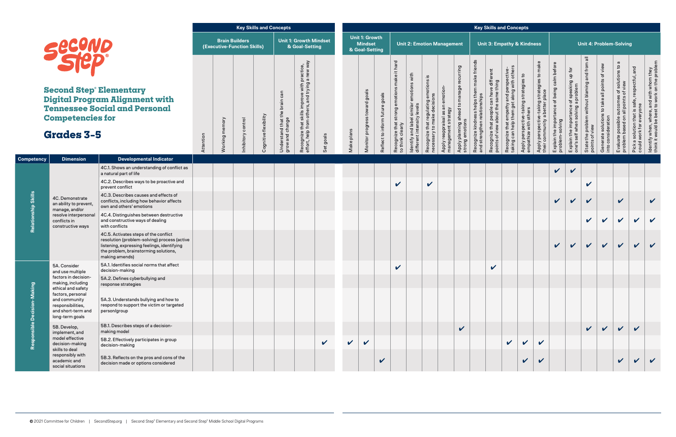|           |                       |                             | <b>Key Skills and Concepts</b> |                                                  |                                                                                                |           |                            |                                                           |                                |                                                                 |                                                                                 |                                                                         |                                                         |                                                             |                                                                            |                                                                                         | <b>Key Skills and Concepts</b>                                                        |                                                                 |                                                                               |                                                                |                                                                                |                                                                  |                                                                     |                                                                                     |                                                                          |                                                                                           |
|-----------|-----------------------|-----------------------------|--------------------------------|--------------------------------------------------|------------------------------------------------------------------------------------------------|-----------|----------------------------|-----------------------------------------------------------|--------------------------------|-----------------------------------------------------------------|---------------------------------------------------------------------------------|-------------------------------------------------------------------------|---------------------------------------------------------|-------------------------------------------------------------|----------------------------------------------------------------------------|-----------------------------------------------------------------------------------------|---------------------------------------------------------------------------------------|-----------------------------------------------------------------|-------------------------------------------------------------------------------|----------------------------------------------------------------|--------------------------------------------------------------------------------|------------------------------------------------------------------|---------------------------------------------------------------------|-------------------------------------------------------------------------------------|--------------------------------------------------------------------------|-------------------------------------------------------------------------------------------|
|           | <b>Brain Builders</b> | (Executive-Function Skills) |                                |                                                  | <b>Unit 1: Growth Mindset</b><br>& Goal-Setting                                                |           |                            | <b>Unit 1: Growth</b><br><b>Mindset</b><br>& Goal-Setting |                                |                                                                 |                                                                                 | <b>Unit 2: Emotion Management</b>                                       |                                                         |                                                             |                                                                            |                                                                                         | <b>Unit 3: Empathy &amp; Kindness</b>                                                 |                                                                 |                                                                               |                                                                |                                                                                |                                                                  | <b>Unit 4: Problem-Solving</b>                                      |                                                                                     |                                                                          |                                                                                           |
| Attention | Working memory        | control<br>Inhibitory       | Cognitive flexibility          | Understand that the brain can<br>grow and change | Recognize that skills improve with practice,<br>effort, help from others, and trying a new way | Set goals | Make plans                 | Monitor progress toward goals                             | Reflect to inform future goals | Recognize that strong emotions make it hard<br>to think clearly | emotions with<br>similar<br>different intensity levels<br>and label<br>Identify | emotions is<br>necessary to make decisions<br>Recognize that regulating | Apply reappraisal as an emotion-<br>management strategy | Apply planning ahead to manage recurring<br>strong emotions | Recognize kindness helps them make friends<br>and strengthen relationships | different<br>Recognize that people can have diff<br>points of view about the same thing | Recognize that empathy and perspective-<br>taking can help them get along with others | Apply perspective-taking strategies to<br>empathize with others | Apply perspective-taking strategies to make<br>their community a better place | Explain the importance of being calm before<br>problem-solving | Explain the importance of speaking up for<br>one's self when solving a problem | State the problem without blaming and from all<br>points of view | Generate solutions to take all points of view<br>into consideration | Evaluate possible outcomes of solutions to a<br>problem based on all points of view | Pick a solution that is safe, respectful, and<br>could work for everyone | ldentify when, where, and with whom they<br>think it would be best to work on the problem |
|           |                       |                             |                                |                                                  |                                                                                                |           |                            |                                                           |                                |                                                                 |                                                                                 |                                                                         |                                                         |                                                             |                                                                            |                                                                                         |                                                                                       |                                                                 |                                                                               | V                                                              | $\checkmark$                                                                   |                                                                  |                                                                     |                                                                                     |                                                                          |                                                                                           |
|           |                       |                             |                                |                                                  |                                                                                                |           |                            |                                                           |                                | $\checkmark$                                                    |                                                                                 | $\checkmark$                                                            |                                                         |                                                             |                                                                            |                                                                                         |                                                                                       |                                                                 |                                                                               |                                                                |                                                                                | V                                                                |                                                                     |                                                                                     |                                                                          |                                                                                           |
|           |                       |                             |                                |                                                  |                                                                                                |           |                            |                                                           |                                |                                                                 |                                                                                 |                                                                         |                                                         |                                                             |                                                                            |                                                                                         |                                                                                       |                                                                 |                                                                               | V                                                              | $\boldsymbol{\mathcal{U}}$                                                     | V                                                                |                                                                     | $\checkmark$                                                                        |                                                                          | $\checkmark$                                                                              |
|           |                       |                             |                                |                                                  |                                                                                                |           |                            |                                                           |                                |                                                                 |                                                                                 |                                                                         |                                                         |                                                             |                                                                            |                                                                                         |                                                                                       |                                                                 |                                                                               |                                                                |                                                                                | V                                                                | $\checkmark$                                                        | $\checkmark$                                                                        | $\boldsymbol{\mathcal{U}}$                                               | $\boldsymbol{\mathcal{U}}$                                                                |
|           |                       |                             |                                |                                                  |                                                                                                |           |                            |                                                           |                                |                                                                 |                                                                                 |                                                                         |                                                         |                                                             |                                                                            |                                                                                         |                                                                                       |                                                                 |                                                                               | $\boldsymbol{\mathcal{U}}$                                     | $\checkmark$                                                                   | V                                                                | $\boldsymbol{\mathcal{U}}$                                          | $\boldsymbol{\mathcal{U}}$                                                          | $\overline{\mathbf{v}}$                                                  | $\checkmark$                                                                              |
|           |                       |                             |                                |                                                  |                                                                                                |           |                            |                                                           |                                |                                                                 |                                                                                 |                                                                         |                                                         |                                                             |                                                                            |                                                                                         |                                                                                       |                                                                 |                                                                               |                                                                |                                                                                |                                                                  |                                                                     |                                                                                     |                                                                          |                                                                                           |
|           |                       |                             |                                |                                                  |                                                                                                |           |                            |                                                           |                                |                                                                 |                                                                                 |                                                                         |                                                         |                                                             |                                                                            |                                                                                         |                                                                                       |                                                                 |                                                                               |                                                                |                                                                                |                                                                  |                                                                     |                                                                                     |                                                                          |                                                                                           |
|           |                       |                             |                                |                                                  |                                                                                                |           |                            |                                                           |                                |                                                                 |                                                                                 |                                                                         |                                                         |                                                             |                                                                            |                                                                                         |                                                                                       |                                                                 |                                                                               |                                                                |                                                                                |                                                                  |                                                                     |                                                                                     |                                                                          |                                                                                           |
|           |                       |                             |                                |                                                  |                                                                                                |           |                            |                                                           |                                |                                                                 |                                                                                 |                                                                         |                                                         | $\boldsymbol{\mathcal{U}}$                                  |                                                                            |                                                                                         |                                                                                       |                                                                 |                                                                               |                                                                |                                                                                | V                                                                |                                                                     | $\mathbf v$                                                                         | $\boldsymbol{\mathcal{U}}$                                               |                                                                                           |
|           |                       |                             |                                |                                                  |                                                                                                | V         | $\boldsymbol{\mathcal{U}}$ | V                                                         |                                |                                                                 |                                                                                 |                                                                         |                                                         |                                                             |                                                                            |                                                                                         | $\mathbf v$                                                                           | $\mathbf{v}$                                                    | $\boldsymbol{\mathcal{U}}$                                                    |                                                                |                                                                                |                                                                  |                                                                     |                                                                                     |                                                                          |                                                                                           |
|           |                       |                             |                                |                                                  |                                                                                                |           |                            |                                                           | $\checkmark$                   |                                                                 |                                                                                 |                                                                         |                                                         |                                                             |                                                                            |                                                                                         |                                                                                       | $\mathbf v$                                                     | $\mathbf{v}$                                                                  |                                                                |                                                                                |                                                                  |                                                                     | $\boldsymbol{\nu}$                                                                  |                                                                          | $\boldsymbol{\mathcal{U}}$                                                                |

|                                                                                                                                                                                                                                   |                                                                                                                                                     | <b>Rey ORING AND CONCEPTS</b>                                                                                                                                                                   |                                                      |                |                    |                                                 |                                        |                                                                            |                                                           | <b>Rey OKING AND CONCEPTS</b> |                               |                                |                                                    |                                                                   |                                                                      |                                                         |                                                             |                                                                            |                                                                                 |                                                                                       |                                                              |                                                                               |                                                                |                                                                                |                                                                  |                                                                     |                                                                                |                                                                          |                                                                                           |
|-----------------------------------------------------------------------------------------------------------------------------------------------------------------------------------------------------------------------------------|-----------------------------------------------------------------------------------------------------------------------------------------------------|-------------------------------------------------------------------------------------------------------------------------------------------------------------------------------------------------|------------------------------------------------------|----------------|--------------------|-------------------------------------------------|----------------------------------------|----------------------------------------------------------------------------|-----------------------------------------------------------|-------------------------------|-------------------------------|--------------------------------|----------------------------------------------------|-------------------------------------------------------------------|----------------------------------------------------------------------|---------------------------------------------------------|-------------------------------------------------------------|----------------------------------------------------------------------------|---------------------------------------------------------------------------------|---------------------------------------------------------------------------------------|--------------------------------------------------------------|-------------------------------------------------------------------------------|----------------------------------------------------------------|--------------------------------------------------------------------------------|------------------------------------------------------------------|---------------------------------------------------------------------|--------------------------------------------------------------------------------|--------------------------------------------------------------------------|-------------------------------------------------------------------------------------------|
|                                                                                                                                                                                                                                   | <b>Second</b>                                                                                                                                       |                                                                                                                                                                                                 | <b>Brain Builders</b><br>(Executive-Function Skills) |                |                    | <b>Unit 1: Growth Mindset</b><br>& Goal-Setting |                                        |                                                                            | <b>Unit 1: Growth</b><br><b>Mindset</b><br>& Goal-Setting |                               |                               |                                | <b>Unit 2: Emotion Management</b>                  |                                                                   |                                                                      |                                                         |                                                             |                                                                            | <b>Unit 3: Empathy &amp; Kindness</b>                                           |                                                                                       |                                                              | <b>Unit 4: Problem-Solving</b>                                                |                                                                |                                                                                |                                                                  |                                                                     |                                                                                |                                                                          |                                                                                           |
|                                                                                                                                                                                                                                   |                                                                                                                                                     |                                                                                                                                                                                                 |                                                      |                |                    |                                                 |                                        | ractice,<br>new way<br>$\overline{a}$                                      |                                                           |                               |                               |                                | hard<br>make it                                    | with                                                              |                                                                      |                                                         |                                                             |                                                                            |                                                                                 |                                                                                       | $\mathtt{S}$                                                 |                                                                               |                                                                |                                                                                |                                                                  |                                                                     | $\boldsymbol{\sigma}$<br>$\mathtt{S}$                                          |                                                                          |                                                                                           |
|                                                                                                                                                                                                                                   | <b>Second Step Elementary</b><br><b>Competencies for</b>                                                                                            | <b>Digital Program Alignment with</b><br><b>Tennessee Social and Personal</b>                                                                                                                   |                                                      |                |                    |                                                 | can<br>ه                               | Recognize that skills improve with<br>effort, help from others, and trying |                                                           |                               | Monitor progress toward goals | Reflect to inform future goals | Recognize that strong emotions<br>to think clearly | ldentify and label similar emotions<br>different intensity levels | Recognize that regulating emotions is<br>necessary to make decisions | Apply reappraisal as an emotion-<br>management strategy | Apply planning ahead to manage recurring<br>strong emotions | Recognize kindness helps them make friends<br>and strengthen relationships | Recognize that people can have different<br>points of view about the same thing | Recognize that empathy and perspective-<br>taking can help them get along with others | Apply perspective-taking strategies<br>empathize with others | Apply perspective-taking strategies to make<br>their community a better place | Explain the importance of being calm before<br>problem-solving | Explain the importance of speaking up for<br>one's self when solving a problem | State the problem without blaming and from all<br>points of view | Generate solutions to take all points of view<br>into consideration | Evaluate possible outcomes of solutions<br>problem based on all points of view | Pick a solution that is safe, respectful, and<br>could work for everyone | ldentify when, where, and with whom they<br>think it would be best to work on the problem |
|                                                                                                                                                                                                                                   | <b>Grades 3-5</b>                                                                                                                                   |                                                                                                                                                                                                 | Attention                                            | Working memory | Inhibitory control | Cognitive flexibility                           | Understand that the<br>grow and change |                                                                            | Set goals                                                 | Make plans                    |                               |                                |                                                    |                                                                   |                                                                      |                                                         |                                                             |                                                                            |                                                                                 |                                                                                       |                                                              |                                                                               |                                                                |                                                                                |                                                                  |                                                                     |                                                                                |                                                                          |                                                                                           |
| <b>Competency</b>                                                                                                                                                                                                                 | <b>Dimension</b>                                                                                                                                    | <b>Developmental Indicator</b>                                                                                                                                                                  |                                                      |                |                    |                                                 |                                        |                                                                            |                                                           |                               |                               |                                |                                                    |                                                                   |                                                                      |                                                         |                                                             |                                                                            |                                                                                 |                                                                                       |                                                              |                                                                               |                                                                |                                                                                |                                                                  |                                                                     |                                                                                |                                                                          |                                                                                           |
|                                                                                                                                                                                                                                   |                                                                                                                                                     | 4C.1. Shows an understanding of conflict as<br>a natural part of life                                                                                                                           |                                                      |                |                    |                                                 |                                        |                                                                            |                                                           |                               |                               |                                |                                                    |                                                                   |                                                                      |                                                         |                                                             |                                                                            |                                                                                 |                                                                                       |                                                              |                                                                               | $\checkmark$                                                   | $\checkmark$                                                                   |                                                                  |                                                                     |                                                                                |                                                                          |                                                                                           |
|                                                                                                                                                                                                                                   | prevent conflict<br>4C.3. Describes causes and effects of<br>4C. Demonstrate<br>conflicts, including how behavior affects<br>an ability to prevent, | 4C.2. Describes ways to be proactive and                                                                                                                                                        |                                                      |                |                    |                                                 |                                        |                                                                            |                                                           |                               |                               |                                | $\boldsymbol{\mathcal{U}}$                         |                                                                   | $\boldsymbol{\mathcal{U}}$                                           |                                                         |                                                             |                                                                            |                                                                                 |                                                                                       |                                                              |                                                                               |                                                                |                                                                                | V                                                                |                                                                     |                                                                                |                                                                          |                                                                                           |
| inship Skills                                                                                                                                                                                                                     | manage, and/or                                                                                                                                      | own and others' emotions                                                                                                                                                                        |                                                      |                |                    |                                                 |                                        |                                                                            |                                                           |                               |                               |                                |                                                    |                                                                   |                                                                      |                                                         |                                                             |                                                                            |                                                                                 |                                                                                       |                                                              |                                                                               | $\mathbf v$                                                    | $\checkmark$                                                                   | $\checkmark$                                                     |                                                                     | $\checkmark$                                                                   |                                                                          | $\mathbf{v}$                                                                              |
|                                                                                                                                                                                                                                   | resolve interpersonal<br>conflicts in<br>constructive ways                                                                                          | 4C.4. Distinguishes between destructive<br>and constructive ways of dealing<br>with conflicts                                                                                                   |                                                      |                |                    |                                                 |                                        |                                                                            |                                                           |                               |                               |                                |                                                    |                                                                   |                                                                      |                                                         |                                                             |                                                                            |                                                                                 |                                                                                       |                                                              |                                                                               |                                                                |                                                                                | $\checkmark$                                                     | $\checkmark$                                                        | $\checkmark$                                                                   | $\mathbf{v}$                                                             | $\mathbf{v}$                                                                              |
|                                                                                                                                                                                                                                   |                                                                                                                                                     | 4C.5. Activates steps of the conflict<br>resolution (problem-solving) process (active<br>listening, expressing feelings, identifying<br>the problem, brainstorming solutions,<br>making amends) |                                                      |                |                    |                                                 |                                        |                                                                            |                                                           |                               |                               |                                |                                                    |                                                                   |                                                                      |                                                         |                                                             |                                                                            |                                                                                 |                                                                                       |                                                              |                                                                               | $\checkmark$                                                   | $\checkmark$                                                                   | $\mathbf{v}$                                                     | $\mathbf{v}$                                                        | $\checkmark$                                                                   | $\vee$                                                                   | $\mathbf v$                                                                               |
|                                                                                                                                                                                                                                   | 5A. Consider<br>and use multiple                                                                                                                    | 5A.1. Identifies social norms that affect<br>decision-making                                                                                                                                    |                                                      |                |                    |                                                 |                                        |                                                                            |                                                           |                               |                               |                                | V                                                  |                                                                   |                                                                      |                                                         |                                                             |                                                                            | V                                                                               |                                                                                       |                                                              |                                                                               |                                                                |                                                                                |                                                                  |                                                                     |                                                                                |                                                                          |                                                                                           |
|                                                                                                                                                                                                                                   | factors in decision-<br>making, including                                                                                                           | 5A.2. Defines cyberbullying and<br>response strategies                                                                                                                                          |                                                      |                |                    |                                                 |                                        |                                                                            |                                                           |                               |                               |                                |                                                    |                                                                   |                                                                      |                                                         |                                                             |                                                                            |                                                                                 |                                                                                       |                                                              |                                                                               |                                                                |                                                                                |                                                                  |                                                                     |                                                                                |                                                                          |                                                                                           |
| <b>Making</b><br>ethical and safety<br>factors, personal<br>and community<br>responsibilities,<br>and short-term and<br>long-term goals<br>5B. Develop,<br>implement, and<br>model effective<br>decision-making<br>skills to deal | 5A.3. Understands bullying and how to<br>respond to support the victim or targeted<br>person/group                                                  |                                                                                                                                                                                                 |                                                      |                |                    |                                                 |                                        |                                                                            |                                                           |                               |                               |                                |                                                    |                                                                   |                                                                      |                                                         |                                                             |                                                                            |                                                                                 |                                                                                       |                                                              |                                                                               |                                                                |                                                                                |                                                                  |                                                                     |                                                                                |                                                                          |                                                                                           |
|                                                                                                                                                                                                                                   | 5B.1. Describes steps of a decision-<br>making model                                                                                                |                                                                                                                                                                                                 |                                                      |                |                    |                                                 |                                        |                                                                            |                                                           |                               |                               |                                |                                                    |                                                                   |                                                                      | $\checkmark$                                            |                                                             |                                                                            |                                                                                 |                                                                                       |                                                              |                                                                               |                                                                | $\checkmark$                                                                   | $\checkmark$                                                     | $\checkmark$                                                        | $\checkmark$                                                                   |                                                                          |                                                                                           |
|                                                                                                                                                                                                                                   | 5B.2. Effectively participates in group<br>decision-making                                                                                          |                                                                                                                                                                                                 |                                                      |                |                    |                                                 |                                        | $\checkmark$                                                               | $\checkmark$                                              | $\boldsymbol{\mathcal{U}}$    |                               |                                |                                                    |                                                                   |                                                                      |                                                         |                                                             |                                                                            | $\mathbf v$                                                                     | $\sqrt{2}$                                                                            | $\boldsymbol{\mathcal{U}}$                                   |                                                                               |                                                                |                                                                                |                                                                  |                                                                     |                                                                                |                                                                          |                                                                                           |
|                                                                                                                                                                                                                                   | responsibly with<br>academic and<br>social situations                                                                                               | 5B.3. Reflects on the pros and cons of the<br>decision made or options considered                                                                                                               |                                                      |                |                    |                                                 |                                        |                                                                            |                                                           |                               |                               |                                |                                                    |                                                                   |                                                                      |                                                         |                                                             |                                                                            |                                                                                 |                                                                                       | $\checkmark$                                                 | V                                                                             |                                                                |                                                                                |                                                                  |                                                                     | $\checkmark$                                                                   |                                                                          |                                                                                           |

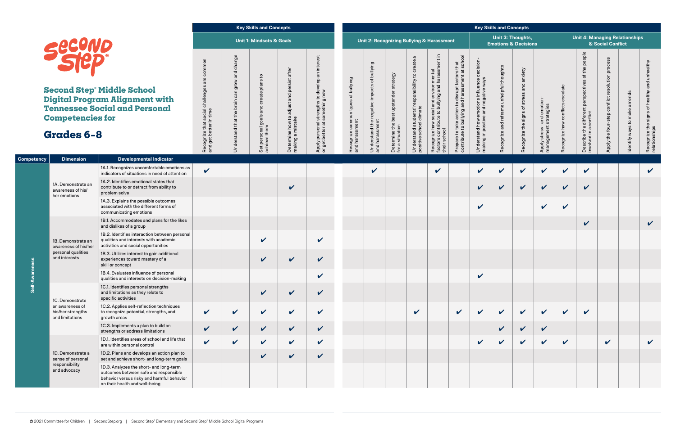

**Second Step® Digital Program Tennessee So Competencies** 

**Self-Awareness**

Self-Awareness

1A. Demonstrate an awareness of his/ her emotions

|                                                                                                                                                                  |                                                                                 |                                                           | <b>Key Skills and Concepts</b>                                            |                                                                               |                                                                                                                        | <b>Key Skills and Concepts</b><br>Unit 3: Thoughts,  |                                                                          |                                                             |                                                                                                        |                                                                                                            |                                                                                                   |                                                                                                |                                             |                                                 |                                                                        |                                                            |                                                                                                         |                                                                   |                             |                                                               |  |  |
|------------------------------------------------------------------------------------------------------------------------------------------------------------------|---------------------------------------------------------------------------------|-----------------------------------------------------------|---------------------------------------------------------------------------|-------------------------------------------------------------------------------|------------------------------------------------------------------------------------------------------------------------|------------------------------------------------------|--------------------------------------------------------------------------|-------------------------------------------------------------|--------------------------------------------------------------------------------------------------------|------------------------------------------------------------------------------------------------------------|---------------------------------------------------------------------------------------------------|------------------------------------------------------------------------------------------------|---------------------------------------------|-------------------------------------------------|------------------------------------------------------------------------|------------------------------------------------------------|---------------------------------------------------------------------------------------------------------|-------------------------------------------------------------------|-----------------------------|---------------------------------------------------------------|--|--|
| $\boldsymbol{\varGamma}$                                                                                                                                         |                                                                                 |                                                           | <b>Unit 1: Mindsets &amp; Goals</b>                                       |                                                                               |                                                                                                                        |                                                      |                                                                          |                                                             |                                                                                                        | Unit 2: Recognizing Bullying & Harassment                                                                  |                                                                                                   |                                                                                                | <b>Emotions &amp; Decisions</b>             |                                                 |                                                                        | <b>Unit 4: Managing Relationships</b><br>& Social Conflict |                                                                                                         |                                                                   |                             |                                                               |  |  |
| <b>Middle School</b><br>am Alignment with<br><b>pcial and Personal</b><br>s for                                                                                  | common<br>social challenges<br>in time<br>Recognize that s<br>and get better in | change<br>and<br>Moub<br>can<br>Understand that the brain | $\mathtt{S}$<br>plans<br>create<br>Set personal goals and<br>achieve them | after<br>5<br>persis<br>and<br>adjust<br>Determine how to<br>making a mistake | an interest<br>develop<br>I strengths to dev<br>: something new<br>personal <sub>s</sub><br>Apply <b>I</b><br>or get I | Recognize common types of bullying<br>and harassment | of bullying<br>impacts<br>negative<br>Understand the n<br>and harassment | strategy<br>Determine the best upstander<br>for a situation | $\boldsymbol{\omega}$<br>responsibility to create<br>Understand students' r<br>positive school climate | Recognize how social and environmental<br>factors contribute to bullying and harassment in<br>their school | Prepare to take action to disrupt factors that<br>contribute to bullying and harassment at school | decision-<br>Understand how emotions influence on the processing in positive and negative ways | and reframe unhelpful thoughts<br>Recognize | anxiety<br>and<br>Recognize the signs of stress | motion-<br>and emotic<br>strategies<br>Apply stress- a<br>management s | escalate<br>conflicts<br>Recognize how                     | different perspectives of the people<br>:onflict<br>$\circ$<br>Describe the <b>a</b><br>involved in a c | <b>SC</b><br>proces<br>conflict resolution<br>Apply the four-step | dentify ways to make amends | Recognize the signs of healthy and unhealthy<br>relationships |  |  |
| <b>Developmental Indicator</b>                                                                                                                                   |                                                                                 |                                                           |                                                                           |                                                                               |                                                                                                                        |                                                      |                                                                          |                                                             |                                                                                                        |                                                                                                            |                                                                                                   |                                                                                                |                                             |                                                 |                                                                        |                                                            |                                                                                                         |                                                                   |                             |                                                               |  |  |
| 1A.1. Recognizes uncomfortable emotions as<br>indicators of situations in need of attention                                                                      | $\checkmark$                                                                    |                                                           |                                                                           |                                                                               |                                                                                                                        |                                                      | $\checkmark$                                                             |                                                             |                                                                                                        | V                                                                                                          |                                                                                                   | $\checkmark$                                                                                   | $\mathbf v$                                 | $\checkmark$                                    | $\checkmark$                                                           | $\mathbf v$                                                | $\boldsymbol{\mathcal{U}}$                                                                              |                                                                   |                             | V                                                             |  |  |
| 1A.2. Identifies emotional states that<br>contribute to or detract from ability to<br>problem solve                                                              |                                                                                 |                                                           |                                                                           | $\checkmark$                                                                  |                                                                                                                        |                                                      |                                                                          |                                                             |                                                                                                        |                                                                                                            |                                                                                                   | $\checkmark$                                                                                   | $\mathbf v$                                 | $\checkmark$                                    | $\checkmark$                                                           | $\checkmark$                                               | $\boldsymbol{\mathcal{U}}$                                                                              |                                                                   |                             |                                                               |  |  |
| 1A.3. Explains the possible outcomes<br>associated with the different forms of<br>communicating emotions                                                         |                                                                                 |                                                           |                                                                           |                                                                               |                                                                                                                        |                                                      |                                                                          |                                                             |                                                                                                        |                                                                                                            |                                                                                                   | V                                                                                              |                                             |                                                 | V                                                                      | $\boldsymbol{\mathcal{U}}$                                 |                                                                                                         |                                                                   |                             |                                                               |  |  |
| 1B.1. Accommodates and plans for the likes<br>and dislikes of a group                                                                                            |                                                                                 |                                                           |                                                                           |                                                                               |                                                                                                                        |                                                      |                                                                          |                                                             |                                                                                                        |                                                                                                            |                                                                                                   |                                                                                                |                                             |                                                 |                                                                        |                                                            | $\boldsymbol{\mathcal{U}}$                                                                              |                                                                   |                             | $\mathbf v$                                                   |  |  |
| 1B.2. Identifies interaction between personal<br>qualities and interests with academic<br>activities and social opportunities                                    |                                                                                 |                                                           | V                                                                         |                                                                               | $\checkmark$                                                                                                           |                                                      |                                                                          |                                                             |                                                                                                        |                                                                                                            |                                                                                                   |                                                                                                |                                             |                                                 |                                                                        |                                                            |                                                                                                         |                                                                   |                             |                                                               |  |  |
| 1B.3. Utilizes interest to gain additional<br>experiences toward mastery of a<br>skill or concept                                                                |                                                                                 |                                                           | V                                                                         | V                                                                             | V                                                                                                                      |                                                      |                                                                          |                                                             |                                                                                                        |                                                                                                            |                                                                                                   |                                                                                                |                                             |                                                 |                                                                        |                                                            |                                                                                                         |                                                                   |                             |                                                               |  |  |
| 1B.4. Evaluates influence of personal<br>qualities and interests on decision-making                                                                              |                                                                                 |                                                           |                                                                           |                                                                               | V                                                                                                                      |                                                      |                                                                          |                                                             |                                                                                                        |                                                                                                            |                                                                                                   | $\mathbf v$                                                                                    |                                             |                                                 |                                                                        |                                                            |                                                                                                         |                                                                   |                             |                                                               |  |  |
| 1C.1. Identifies personal strengths<br>and limitations as they relate to<br>specific activities                                                                  |                                                                                 |                                                           | V                                                                         | $\checkmark$                                                                  | $\checkmark$                                                                                                           |                                                      |                                                                          |                                                             |                                                                                                        |                                                                                                            |                                                                                                   |                                                                                                |                                             |                                                 |                                                                        |                                                            |                                                                                                         |                                                                   |                             |                                                               |  |  |
| 1C.2. Applies self-reflection techniques<br>to recognize potential, strengths, and<br>growth areas                                                               | $\checkmark$                                                                    | V                                                         | V                                                                         | $\checkmark$                                                                  | V                                                                                                                      |                                                      |                                                                          |                                                             | $\boldsymbol{\mathcal{U}}$                                                                             |                                                                                                            | $\mathbf v$                                                                                       | V                                                                                              | $\checkmark$                                | $\checkmark$                                    | $\boldsymbol{\mathcal{U}}$                                             | $\boldsymbol{\mathcal{U}}$                                 | $\boldsymbol{\mathcal{U}}$                                                                              |                                                                   |                             |                                                               |  |  |
| 1C.3. Implements a plan to build on<br>strengths or address limitations                                                                                          | $\checkmark$                                                                    | $\checkmark$                                              | $\checkmark$                                                              | $\checkmark$                                                                  | $\checkmark$                                                                                                           |                                                      |                                                                          |                                                             |                                                                                                        |                                                                                                            |                                                                                                   |                                                                                                | $\boldsymbol{\mathcal{U}}$                  | $\checkmark$                                    | $\checkmark$                                                           |                                                            |                                                                                                         |                                                                   |                             |                                                               |  |  |
| 1D.1. Identifies areas of school and life that<br>are within personal control                                                                                    | $\checkmark$                                                                    | V                                                         | $\checkmark$                                                              | V                                                                             | V                                                                                                                      |                                                      |                                                                          |                                                             |                                                                                                        |                                                                                                            |                                                                                                   | $\checkmark$                                                                                   | $\boldsymbol{\mathcal{U}}$                  | $\checkmark$                                    | $\checkmark$                                                           | $\boldsymbol{\mathcal{U}}$                                 |                                                                                                         | $\boldsymbol{\mathcal{U}}$                                        |                             | V                                                             |  |  |
| 1D.2. Plans and develops an action plan to<br>set and achieve short- and long-term goals                                                                         |                                                                                 |                                                           | V                                                                         | V                                                                             | $\checkmark$                                                                                                           |                                                      |                                                                          |                                                             |                                                                                                        |                                                                                                            |                                                                                                   |                                                                                                |                                             |                                                 |                                                                        |                                                            |                                                                                                         |                                                                   |                             |                                                               |  |  |
| 1D.3. Analyzes the short- and long-term<br>outcomes between safe and responsible<br>behavior versus risky and harmful behavior<br>on their health and well-being |                                                                                 |                                                           |                                                                           |                                                                               |                                                                                                                        |                                                      |                                                                          |                                                             |                                                                                                        |                                                                                                            |                                                                                                   |                                                                                                |                                             |                                                 |                                                                        |                                                            |                                                                                                         |                                                                   |                             |                                                               |  |  |

1B. Demonstrate an awareness of his/her personal qualities and interests

1C. Demonstrate an awareness of his/her strengths and limitations

1D. Demonstrate a sense of personal responsibility and advocacy

**Competency Dimension**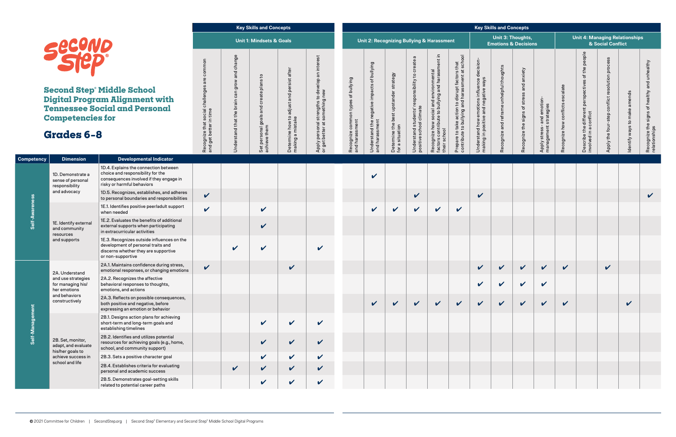**Self-Awareness**

Self-Awareness

1D. Demonstrate a sense of personal responsibility and advocacy

|                                                                                                                                                     |                                                                                       | <b>Key Skills and Concepts</b>                         |                                                                           | <b>Key Skills and Concepts</b><br>Unit 3: Thoughts,<br><b>Unit 4: Managing Relationships</b>                 |                                                                                                                                                |                                                      |                                                                       |                                                             |                                                                                                        |                                                                                                            |                                                                                                   |                                                                                          |                                                |                                              |                                                             |                                        |                                                                             |                                                       |                                    |                                                               |
|-----------------------------------------------------------------------------------------------------------------------------------------------------|---------------------------------------------------------------------------------------|--------------------------------------------------------|---------------------------------------------------------------------------|--------------------------------------------------------------------------------------------------------------|------------------------------------------------------------------------------------------------------------------------------------------------|------------------------------------------------------|-----------------------------------------------------------------------|-------------------------------------------------------------|--------------------------------------------------------------------------------------------------------|------------------------------------------------------------------------------------------------------------|---------------------------------------------------------------------------------------------------|------------------------------------------------------------------------------------------|------------------------------------------------|----------------------------------------------|-------------------------------------------------------------|----------------------------------------|-----------------------------------------------------------------------------|-------------------------------------------------------|------------------------------------|---------------------------------------------------------------|
| $\boldsymbol{D}$                                                                                                                                    |                                                                                       |                                                        | <b>Unit 1: Mindsets &amp; Goals</b>                                       |                                                                                                              |                                                                                                                                                |                                                      |                                                                       |                                                             |                                                                                                        | <b>Unit 2: Recognizing Bullying &amp; Harassment</b>                                                       |                                                                                                   |                                                                                          |                                                | <b>Emotions &amp; Decisions</b>              |                                                             |                                        |                                                                             | & Social Conflict                                     |                                    |                                                               |
| <b>Middle School</b><br><b>am Alignment with</b><br><b>pcial and Personal</b><br>s for                                                              | common<br>are<br>social challenges<br>n time<br>Recognize that s<br>and get better in | change<br>and<br>grow<br>Understand that the brain can | $\mathbf{c}$<br>plans<br>create<br>Set personal goals and<br>achieve them | ୕୕ଢ଼<br>Ĕ<br>.<br>ග<br>per<br>짇<br>$\overline{\sigma}$<br>iipe<br>Ta<br>Determine how to<br>making a mistake | interest<br>$\overline{\mathfrak{a}}$<br>develop<br>new<br>$\rm ^{0}$<br>strengths to<br>something<br>personal<br>better at<br>Apply<br>or get | Recognize common types of bullying<br>and harassment | of bullying<br>negative impacts<br>Understand the n<br>and harassment | strategy<br>Determine the best upstander<br>for a situation | $\boldsymbol{\omega}$<br>responsibility to create<br>Understand students' r<br>positive school climate | Recognize how social and environmental<br>factors contribute to bullying and harassment in<br>their school | Prepare to take action to disrupt factors that<br>contribute to bullying and harassment at school | decision-<br>Understand how emotions influence (<br>making in positive and negative ways | unhelpful thoughts<br>reframe<br>Recognize and | and anxiety<br>Recognize the signs of stress | and emotion-<br>strategies<br>Apply stress-<br>management : | escalate<br>conflicts<br>Recognize how | Describe the different perspectives of the people<br>involved in a conflict | process<br>conflict resolution<br>Apply the four-step | amends<br>make<br>Identify ways to | Recognize the signs of healthy and unhealthy<br>relationships |
| <b>Developmental Indicator</b>                                                                                                                      |                                                                                       |                                                        |                                                                           |                                                                                                              |                                                                                                                                                |                                                      |                                                                       |                                                             |                                                                                                        |                                                                                                            |                                                                                                   |                                                                                          |                                                |                                              |                                                             |                                        |                                                                             |                                                       |                                    |                                                               |
| 1D.4. Explains the connection between<br>choice and responsibility for the<br>consequences involved if they engage in<br>risky or harmful behaviors |                                                                                       |                                                        |                                                                           |                                                                                                              |                                                                                                                                                |                                                      | $\checkmark$                                                          |                                                             |                                                                                                        |                                                                                                            |                                                                                                   |                                                                                          |                                                |                                              |                                                             |                                        |                                                                             |                                                       |                                    |                                                               |
| 1D.5. Recognizes, establishes, and adheres<br>to personal boundaries and responsibilities                                                           | $\checkmark$                                                                          |                                                        |                                                                           |                                                                                                              |                                                                                                                                                |                                                      |                                                                       |                                                             | $\checkmark$                                                                                           |                                                                                                            |                                                                                                   | V                                                                                        |                                                |                                              |                                                             |                                        |                                                                             |                                                       |                                    | $\checkmark$                                                  |
| 1E.1. Identifies positive peer/adult support<br>when needed                                                                                         | $\checkmark$                                                                          |                                                        | $\boldsymbol{\mathcal{U}}$                                                |                                                                                                              |                                                                                                                                                |                                                      | $\checkmark$                                                          | $\checkmark$                                                | $\checkmark$                                                                                           | $\checkmark$                                                                                               | V                                                                                                 |                                                                                          |                                                |                                              |                                                             |                                        |                                                                             |                                                       |                                    |                                                               |
| 1E.2. Evaluates the benefits of additional<br>external supports when participating<br>in extracurricular activities                                 |                                                                                       |                                                        | $\checkmark$                                                              |                                                                                                              |                                                                                                                                                |                                                      |                                                                       |                                                             |                                                                                                        |                                                                                                            |                                                                                                   |                                                                                          |                                                |                                              |                                                             |                                        |                                                                             |                                                       |                                    |                                                               |
| 1E.3. Recognizes outside influences on the<br>development of personal traits and<br>discerns whether they are supportive<br>or non-supportive       |                                                                                       | V                                                      | $\checkmark$                                                              |                                                                                                              | $\checkmark$                                                                                                                                   |                                                      |                                                                       |                                                             |                                                                                                        |                                                                                                            |                                                                                                   |                                                                                          |                                                |                                              |                                                             |                                        |                                                                             |                                                       |                                    |                                                               |
| 2A.1. Maintains confidence during stress,<br>emotional responses, or changing emotions                                                              | $\checkmark$                                                                          |                                                        |                                                                           | $\checkmark$                                                                                                 |                                                                                                                                                |                                                      |                                                                       |                                                             |                                                                                                        |                                                                                                            |                                                                                                   | $\checkmark$                                                                             | $\checkmark$                                   | $\checkmark$                                 | V                                                           | V                                      |                                                                             | V                                                     |                                    |                                                               |
| 2A.2. Recognizes the affective<br>behavioral responses to thoughts,<br>emotions, and actions                                                        |                                                                                       |                                                        |                                                                           |                                                                                                              |                                                                                                                                                |                                                      |                                                                       |                                                             |                                                                                                        |                                                                                                            |                                                                                                   | $\checkmark$                                                                             | $\checkmark$                                   | $\checkmark$                                 | $\checkmark$                                                |                                        |                                                                             |                                                       |                                    |                                                               |
| 2A.3. Reflects on possible consequences,<br>both positive and negative, before<br>expressing an emotion or behavior                                 |                                                                                       |                                                        |                                                                           |                                                                                                              |                                                                                                                                                |                                                      | $\checkmark$                                                          | $\checkmark$                                                | $\checkmark$                                                                                           | $\checkmark$                                                                                               | $\checkmark$                                                                                      | $\checkmark$                                                                             | $\checkmark$                                   | $\checkmark$                                 | $\checkmark$                                                | $\checkmark$                           |                                                                             |                                                       | $\checkmark$                       |                                                               |
| 2B.1. Designs action plans for achieving<br>short-term and long-term goals and<br>establishing timelines                                            |                                                                                       |                                                        | V                                                                         | $\checkmark$                                                                                                 | $\checkmark$                                                                                                                                   |                                                      |                                                                       |                                                             |                                                                                                        |                                                                                                            |                                                                                                   |                                                                                          |                                                |                                              |                                                             |                                        |                                                                             |                                                       |                                    |                                                               |
| 2B.2. Identifies and utilizes potential<br>resources for achieving goals (e.g., home,<br>school, and community support)                             |                                                                                       |                                                        | $\checkmark$                                                              | $\checkmark$                                                                                                 | $\checkmark$                                                                                                                                   |                                                      |                                                                       |                                                             |                                                                                                        |                                                                                                            |                                                                                                   |                                                                                          |                                                |                                              |                                                             |                                        |                                                                             |                                                       |                                    |                                                               |
| 2B.3. Sets a positive character goal                                                                                                                |                                                                                       |                                                        | $\checkmark$                                                              | $\checkmark$                                                                                                 | $\checkmark$                                                                                                                                   |                                                      |                                                                       |                                                             |                                                                                                        |                                                                                                            |                                                                                                   |                                                                                          |                                                |                                              |                                                             |                                        |                                                                             |                                                       |                                    |                                                               |
| 2B.4. Establishes criteria for evaluating<br>personal and academic success                                                                          |                                                                                       | V                                                      | $\checkmark$                                                              | $\checkmark$                                                                                                 | $\checkmark$                                                                                                                                   |                                                      |                                                                       |                                                             |                                                                                                        |                                                                                                            |                                                                                                   |                                                                                          |                                                |                                              |                                                             |                                        |                                                                             |                                                       |                                    |                                                               |
| 2B.5. Demonstrates goal-setting skills<br>related to potential career paths                                                                         |                                                                                       |                                                        | V                                                                         | $\checkmark$                                                                                                 | V                                                                                                                                              |                                                      |                                                                       |                                                             |                                                                                                        |                                                                                                            |                                                                                                   |                                                                                          |                                                |                                              |                                                             |                                        |                                                                             |                                                       |                                    |                                                               |



**Second Step® Midd Digital Program Al Tennessee Social Competencies for**

1E. Identify external and community resources and supports

**Self-Management**

Self-Management

2A. Understand and use strategies for managing his/ her emotions and behaviors constructively

2B. Set, monitor, adapt, and evaluate his/her goals to achieve success in school and life

**Competency Dimension**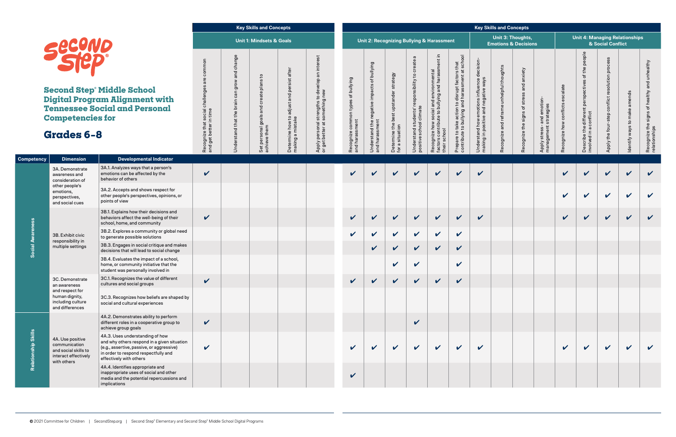

**Second Step® M Digital Program Tennessee Soci Competencies** 

**Social Awareness**

**Social Awareness** 

3A. Demonstrate awareness and consideration of other people's emotions, perspectives, and social cues

| <b>Key Skills and Concepts</b><br><b>Unit 1: Mindsets &amp; Goals</b>                                                                                                                          |                                                                                          |                                                     |                                                           |                                                                                          |                                                                                                                                 |                                                                   |                                                                                       | <b>Key Skills and Concepts</b>                                 |                                                                                 |                                                                                                            |                                                                                                                                     |                                                                                                                                                       |                                                      |                                                       |                                                              |                                                            |                                                                                                                  |                                                       |                              |                                                                            |  |  |
|------------------------------------------------------------------------------------------------------------------------------------------------------------------------------------------------|------------------------------------------------------------------------------------------|-----------------------------------------------------|-----------------------------------------------------------|------------------------------------------------------------------------------------------|---------------------------------------------------------------------------------------------------------------------------------|-------------------------------------------------------------------|---------------------------------------------------------------------------------------|----------------------------------------------------------------|---------------------------------------------------------------------------------|------------------------------------------------------------------------------------------------------------|-------------------------------------------------------------------------------------------------------------------------------------|-------------------------------------------------------------------------------------------------------------------------------------------------------|------------------------------------------------------|-------------------------------------------------------|--------------------------------------------------------------|------------------------------------------------------------|------------------------------------------------------------------------------------------------------------------|-------------------------------------------------------|------------------------------|----------------------------------------------------------------------------|--|--|
| D                                                                                                                                                                                              |                                                                                          |                                                     |                                                           |                                                                                          |                                                                                                                                 |                                                                   |                                                                                       |                                                                |                                                                                 | <b>Unit 2: Recognizing Bullying &amp; Harassment</b>                                                       |                                                                                                                                     |                                                                                                                                                       | Unit 3: Thoughts,<br><b>Emotions &amp; Decisions</b> |                                                       |                                                              | <b>Unit 4: Managing Relationships</b><br>& Social Conflict |                                                                                                                  |                                                       |                              |                                                                            |  |  |
| <b>Middle School</b><br><b>am Alignment with</b><br><b>pcial and Personal</b><br>s for                                                                                                         | common<br>are<br>t social challenges<br>in time<br>Recognize that s<br>and get better in | and change<br>grow<br>Understand that the brain can | and create plans to<br>Set personal goals<br>achieve them | after<br>ة.<br>-<br><u>pa</u><br>ਹ<br>adju<br>م:<br>Determine how to<br>making a mistake | interest<br>develop<br>new<br>$\circ$<br>mething<br>strengths<br>$\overline{\circ}$<br>personal<br>better at<br>Apply<br>or get | Bullying<br>Ⴆ<br>common types<br>Recognize comm<br>and harassment | of bullying<br>gative impacts<br>$\overline{e}$<br>Understand the n<br>and harassment | strategy<br>upstander<br>Determine the best<br>for a situation | responsibility to create a<br>Understand students' r<br>positive school climate | Recognize how social and environmental<br>factors contribute to bullying and harassment in<br>their school | $\overline{\mathsf{S}}$<br>atscho<br>Prepare to take action to disrupt factors that<br>contribute to bullying and harassment at sch | decision-<br>influence d<br>ative ways<br>ative<br>genoi<br>Reg<br>moti <sub>u</sub><br>rstand how en<br>19 in positive a<br>Understan<br>making in I | and reframe unhelpful thoughts<br>Recognize          | anxiety<br>and<br>stress<br>signs of<br>Recognize the | iotion<br>strategies<br>and<br>Apply stress-<br>management s | escalate<br>conflicts<br>Recognize how                     | different perspectives of the people<br>nflict<br>$\overline{\circ}$<br>Describe the <b>c</b><br>involved in a c | process<br>conflict resolution<br>Apply the four-step | Identify ways to make amends | unhealthy<br>healthy and<br>đ<br>signs<br>Recognize the s<br>relationships |  |  |
| <b>Developmental Indicator</b>                                                                                                                                                                 |                                                                                          |                                                     |                                                           |                                                                                          |                                                                                                                                 |                                                                   |                                                                                       |                                                                |                                                                                 |                                                                                                            |                                                                                                                                     |                                                                                                                                                       |                                                      |                                                       |                                                              |                                                            |                                                                                                                  |                                                       |                              |                                                                            |  |  |
| 3A.1. Analyzes ways that a person's<br>emotions can be affected by the<br>behavior of others                                                                                                   | $\checkmark$                                                                             |                                                     |                                                           |                                                                                          |                                                                                                                                 | $\checkmark$                                                      | V                                                                                     | $\checkmark$                                                   | $\checkmark$                                                                    | V                                                                                                          | $\checkmark$                                                                                                                        | $\mathbf v$                                                                                                                                           |                                                      |                                                       |                                                              | $\boldsymbol{\mathcal{U}}$                                 | $\boldsymbol{\mathcal{U}}$                                                                                       | $\checkmark$                                          | $\boldsymbol{\mathcal{U}}$   | $\checkmark$                                                               |  |  |
| 3A.2. Accepts and shows respect for<br>other people's perspectives, opinions, or<br>points of view                                                                                             |                                                                                          |                                                     |                                                           |                                                                                          |                                                                                                                                 |                                                                   |                                                                                       |                                                                |                                                                                 |                                                                                                            |                                                                                                                                     |                                                                                                                                                       |                                                      |                                                       |                                                              | $\boldsymbol{\mathcal{U}}$                                 | $\boldsymbol{\mathcal{U}}$                                                                                       | $\checkmark$                                          | $\checkmark$                 | $\checkmark$                                                               |  |  |
| 3B.1. Explains how their decisions and<br>behaviors affect the well-being of their<br>school, home, and community                                                                              | $\checkmark$                                                                             |                                                     |                                                           |                                                                                          |                                                                                                                                 | $\checkmark$                                                      | $\checkmark$                                                                          | $\mathbf v$                                                    | $\checkmark$                                                                    | $\checkmark$                                                                                               | $\checkmark$                                                                                                                        | $\checkmark$                                                                                                                                          |                                                      |                                                       |                                                              | $\checkmark$                                               | $\boldsymbol{\mathcal{U}}$                                                                                       | $\checkmark$                                          | $\checkmark$                 | $\checkmark$                                                               |  |  |
| 3B.2. Explores a community or global need<br>to generate possible solutions                                                                                                                    |                                                                                          |                                                     |                                                           |                                                                                          |                                                                                                                                 | $\boldsymbol{\mathcal{U}}$                                        | $\boldsymbol{\mathcal{U}}$                                                            | V                                                              | $\checkmark$                                                                    | $\checkmark$                                                                                               | $\checkmark$                                                                                                                        |                                                                                                                                                       |                                                      |                                                       |                                                              |                                                            |                                                                                                                  |                                                       |                              |                                                                            |  |  |
| 3B.3. Engages in social critique and makes<br>decisions that will lead to social change                                                                                                        |                                                                                          |                                                     |                                                           |                                                                                          |                                                                                                                                 |                                                                   | $\checkmark$                                                                          | $\checkmark$                                                   | $\checkmark$                                                                    | V                                                                                                          | $\checkmark$                                                                                                                        |                                                                                                                                                       |                                                      |                                                       |                                                              |                                                            |                                                                                                                  |                                                       |                              |                                                                            |  |  |
| 3B.4. Evaluates the impact of a school,<br>home, or community initiative that the<br>student was personally involved in                                                                        |                                                                                          |                                                     |                                                           |                                                                                          |                                                                                                                                 |                                                                   |                                                                                       | V                                                              | V                                                                               |                                                                                                            | V                                                                                                                                   |                                                                                                                                                       |                                                      |                                                       |                                                              |                                                            |                                                                                                                  |                                                       |                              |                                                                            |  |  |
| 3C.1. Recognizes the value of different<br>cultures and social groups                                                                                                                          | $\checkmark$                                                                             |                                                     |                                                           |                                                                                          |                                                                                                                                 | $\mathbf v$                                                       | $\checkmark$                                                                          | $\checkmark$                                                   | $\checkmark$                                                                    | $\checkmark$                                                                                               | $\checkmark$                                                                                                                        |                                                                                                                                                       |                                                      |                                                       |                                                              |                                                            |                                                                                                                  |                                                       |                              |                                                                            |  |  |
| 3C.3. Recognizes how beliefs are shaped by<br>social and cultural experiences                                                                                                                  |                                                                                          |                                                     |                                                           |                                                                                          |                                                                                                                                 |                                                                   |                                                                                       |                                                                |                                                                                 |                                                                                                            |                                                                                                                                     |                                                                                                                                                       |                                                      |                                                       |                                                              |                                                            |                                                                                                                  |                                                       |                              |                                                                            |  |  |
| 4A.2. Demonstrates ability to perform<br>different roles in a cooperative group to<br>achieve group goals                                                                                      | $\checkmark$                                                                             |                                                     |                                                           |                                                                                          |                                                                                                                                 |                                                                   |                                                                                       |                                                                | $\checkmark$                                                                    |                                                                                                            |                                                                                                                                     |                                                                                                                                                       |                                                      |                                                       |                                                              |                                                            |                                                                                                                  |                                                       |                              |                                                                            |  |  |
| 4A.3. Uses understanding of how<br>and why others respond in a given situation<br>(e.g., assertive, passive, or aggressive)<br>in order to respond respectfully and<br>effectively with others | $\checkmark$                                                                             |                                                     |                                                           |                                                                                          |                                                                                                                                 | $\checkmark$                                                      | $\boldsymbol{\nu}$                                                                    | $\boldsymbol{\mathcal{U}}$                                     | $\mathbf{v}$                                                                    | V                                                                                                          | $\boldsymbol{\mathcal{U}}$                                                                                                          | $\checkmark$                                                                                                                                          |                                                      |                                                       |                                                              | $\boldsymbol{\nu}$                                         |                                                                                                                  | V                                                     | $\boldsymbol{\mathcal{U}}$   | V                                                                          |  |  |
| 4A.4. Identifies appropriate and<br>inappropriate uses of social and other<br>media and the potential repercussions and<br>implications                                                        |                                                                                          |                                                     |                                                           |                                                                                          |                                                                                                                                 | $\checkmark$                                                      |                                                                                       |                                                                |                                                                                 |                                                                                                            |                                                                                                                                     |                                                                                                                                                       |                                                      |                                                       |                                                              |                                                            |                                                                                                                  |                                                       |                              |                                                                            |  |  |

3B. Exhibit civic responsibility in multiple settings

3C. Demonstrate an awareness and respect for human dignity, including culture and differences

**Relationship Skills**

**Relationship Skills** 

4A. Use positive communication and social skills to interact effectively with others

**Competency Dimension**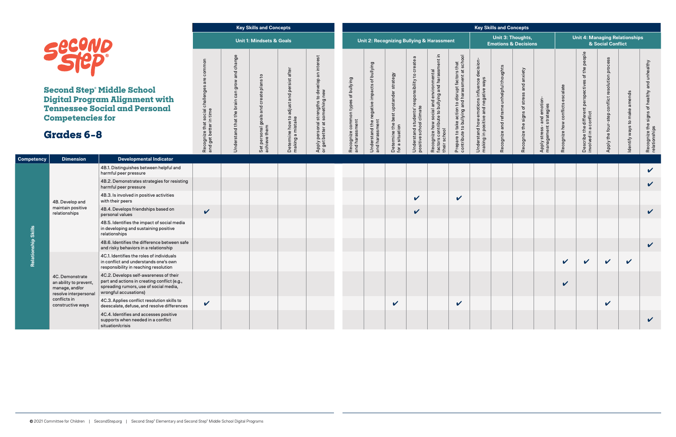|                   |                                                                                                                                                                      |                                                                                                                                                           |                                                                                        |                                                          | <b>Key Skills and Concepts</b>                                         |                                                                     |                                                                                                                          |                                                         |                                                                       |                                                                 |                                                                               |                                                                                                            |                                                                                                   |                                                                                          | <b>Key Skills and Concepts</b>           |                                                      |                                                    |                                  |                                                                                                    |                                                                            |                                       |                                                                |
|-------------------|----------------------------------------------------------------------------------------------------------------------------------------------------------------------|-----------------------------------------------------------------------------------------------------------------------------------------------------------|----------------------------------------------------------------------------------------|----------------------------------------------------------|------------------------------------------------------------------------|---------------------------------------------------------------------|--------------------------------------------------------------------------------------------------------------------------|---------------------------------------------------------|-----------------------------------------------------------------------|-----------------------------------------------------------------|-------------------------------------------------------------------------------|------------------------------------------------------------------------------------------------------------|---------------------------------------------------------------------------------------------------|------------------------------------------------------------------------------------------|------------------------------------------|------------------------------------------------------|----------------------------------------------------|----------------------------------|----------------------------------------------------------------------------------------------------|----------------------------------------------------------------------------|---------------------------------------|----------------------------------------------------------------|
|                   |                                                                                                                                                                      |                                                                                                                                                           |                                                                                        |                                                          | <b>Unit 1: Mindsets &amp; Goals</b>                                    |                                                                     |                                                                                                                          |                                                         |                                                                       |                                                                 |                                                                               | <b>Unit 2: Recognizing Bullying &amp; Harassment</b>                                                       |                                                                                                   |                                                                                          |                                          | Unit 3: Thoughts,<br><b>Emotions &amp; Decisions</b> |                                                    |                                  |                                                                                                    | & Social Conflict                                                          | <b>Unit 4: Managing Relationships</b> |                                                                |
|                   | Second<br><b>Second Step Middle School</b><br>Digital Program Alignment with<br><b>Tennessee Social and Personal</b><br><b>Competencies for</b><br><b>Grades 6-8</b> |                                                                                                                                                           | common<br>$\mathbf \Phi$<br>Recognize that social challenges<br>and get better in time | change<br>Δ<br>۹Ë<br>⋧<br>$\subset$<br>the<br>stand that | $\mathbf{c}$<br>create plans<br>Set personal goals and<br>achieve them | after<br>and persist<br>Determine how to adjust<br>making a mistake | est<br>inter<br>$\Xi$<br>dole<br>deve<br>strengths to <b>a</b><br>something ne<br>Apply personal s<br>or get better at s | of bullying<br>Recognize common types<br>and harassment | of bullying<br>negative impacts<br>Understand the n<br>and harassment | strategy<br>der<br>Determine the best upstar<br>for a situation | ā<br>Understand students' responsibility to create<br>positive school climate | Recognize how social and environmental<br>factors contribute to bullying and harassment in<br>their school | Prepare to take action to disrupt factors that<br>contribute to bullying and harassment at school | decision-<br>Understand how emotions influence (<br>making in positive and negative ways | Recognize and reframe unhelpful thoughts | anxiety<br>and<br>stre<br>signs of<br>Recognize the  | Apply stress- and emotion<br>management strategies | alate<br>Recognize how conflicts | people<br>the<br>đ<br>$\omega$<br>ctive<br>Describe the different perspe<br>involved in a conflict | eso<br>$\overline{a}$<br>resolution<br>conflict<br>step<br>Apply the four- | amends<br>Identify ways to make       | unhealthy<br>of healthy<br>Recognize the sign<br>relationships |
| <b>Competency</b> | <b>Dimension</b>                                                                                                                                                     | <b>Developmental Indicator</b>                                                                                                                            |                                                                                        |                                                          |                                                                        |                                                                     |                                                                                                                          |                                                         |                                                                       |                                                                 |                                                                               |                                                                                                            |                                                                                                   |                                                                                          |                                          |                                                      |                                                    |                                  |                                                                                                    |                                                                            |                                       |                                                                |
|                   |                                                                                                                                                                      | 4B.1. Distinguishes between helpful and<br>harmful peer pressure                                                                                          |                                                                                        |                                                          |                                                                        |                                                                     |                                                                                                                          |                                                         |                                                                       |                                                                 |                                                                               |                                                                                                            |                                                                                                   |                                                                                          |                                          |                                                      |                                                    |                                  |                                                                                                    |                                                                            |                                       | $\mathbf v$                                                    |
|                   |                                                                                                                                                                      | 4B.2. Demonstrates strategies for resisting<br>harmful peer pressure                                                                                      |                                                                                        |                                                          |                                                                        |                                                                     |                                                                                                                          |                                                         |                                                                       |                                                                 |                                                                               |                                                                                                            |                                                                                                   |                                                                                          |                                          |                                                      |                                                    |                                  |                                                                                                    |                                                                            |                                       | $\checkmark$                                                   |
|                   | 4B. Develop and                                                                                                                                                      | 4B.3. Is involved in positive activities<br>with their peers                                                                                              |                                                                                        |                                                          |                                                                        |                                                                     |                                                                                                                          |                                                         |                                                                       |                                                                 | $\mathbf v$                                                                   |                                                                                                            | $\mathbf{v}$                                                                                      |                                                                                          |                                          |                                                      |                                                    |                                  |                                                                                                    |                                                                            |                                       |                                                                |
|                   | maintain positive<br>relationships                                                                                                                                   | 4B.4. Develops friendships based on<br>personal values                                                                                                    | $\mathbf v$                                                                            |                                                          |                                                                        |                                                                     |                                                                                                                          |                                                         |                                                                       |                                                                 | $\checkmark$                                                                  |                                                                                                            |                                                                                                   |                                                                                          |                                          |                                                      |                                                    |                                  |                                                                                                    |                                                                            |                                       | $\checkmark$                                                   |
| <b>Skills</b>     |                                                                                                                                                                      | 4B.5. Identifies the impact of social media<br>in developing and sustaining positive<br>relationships                                                     |                                                                                        |                                                          |                                                                        |                                                                     |                                                                                                                          |                                                         |                                                                       |                                                                 |                                                                               |                                                                                                            |                                                                                                   |                                                                                          |                                          |                                                      |                                                    |                                  |                                                                                                    |                                                                            |                                       |                                                                |
|                   |                                                                                                                                                                      | 4B.6. Identifies the difference between safe<br>and risky behaviors in a relationship                                                                     |                                                                                        |                                                          |                                                                        |                                                                     |                                                                                                                          |                                                         |                                                                       |                                                                 |                                                                               |                                                                                                            |                                                                                                   |                                                                                          |                                          |                                                      |                                                    |                                  |                                                                                                    |                                                                            |                                       | $\checkmark$                                                   |
|                   | Relationship                                                                                                                                                         | 4C.1. Identifies the roles of individuals<br>in conflict and understands one's own<br>responsibility in reaching resolution                               |                                                                                        |                                                          |                                                                        |                                                                     |                                                                                                                          |                                                         |                                                                       |                                                                 |                                                                               |                                                                                                            |                                                                                                   |                                                                                          |                                          |                                                      |                                                    | $\checkmark$                     | $\checkmark$                                                                                       | $\boldsymbol{\mathcal{U}}$                                                 | V                                     |                                                                |
|                   | 4C. Demonstrate<br>an ability to prevent,<br>manage, and/or<br>resolve interpersonal                                                                                 | 4C.2. Develops self-awareness of their<br>part and actions in creating conflict (e.g.,<br>spreading rumors, use of social media,<br>wrongful accusations) |                                                                                        |                                                          |                                                                        |                                                                     |                                                                                                                          |                                                         |                                                                       |                                                                 |                                                                               |                                                                                                            |                                                                                                   |                                                                                          |                                          |                                                      |                                                    | $\checkmark$                     |                                                                                                    |                                                                            |                                       |                                                                |
|                   | conflicts in<br>constructive ways                                                                                                                                    | 4C.3. Applies conflict resolution skills to<br>deescalate, defuse, and resolve differences                                                                | V                                                                                      |                                                          |                                                                        |                                                                     |                                                                                                                          |                                                         |                                                                       | $\mathbf v$                                                     |                                                                               |                                                                                                            | $\mathbf v$                                                                                       |                                                                                          |                                          |                                                      |                                                    |                                  |                                                                                                    | $\boldsymbol{\mathcal{U}}$                                                 |                                       |                                                                |
|                   |                                                                                                                                                                      | 4C.4. Identifies and accesses positive<br>supports when needed in a conflict<br>situation/crisis                                                          |                                                                                        |                                                          |                                                                        |                                                                     |                                                                                                                          |                                                         |                                                                       |                                                                 |                                                                               |                                                                                                            |                                                                                                   |                                                                                          |                                          |                                                      |                                                    |                                  |                                                                                                    |                                                                            |                                       | $\checkmark$                                                   |